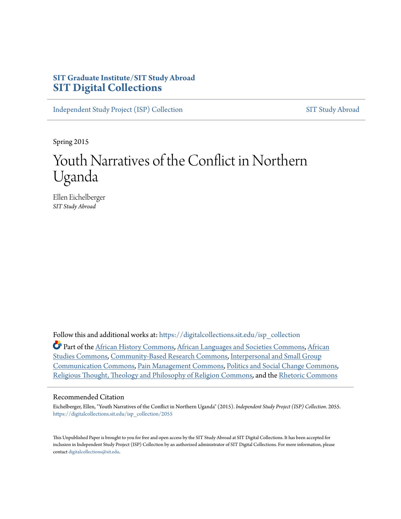# **SIT Graduate Institute/SIT Study Abroad [SIT Digital Collections](https://digitalcollections.sit.edu?utm_source=digitalcollections.sit.edu%2Fisp_collection%2F2055&utm_medium=PDF&utm_campaign=PDFCoverPages)**

[Independent Study Project \(ISP\) Collection](https://digitalcollections.sit.edu/isp_collection?utm_source=digitalcollections.sit.edu%2Fisp_collection%2F2055&utm_medium=PDF&utm_campaign=PDFCoverPages) [SIT Study Abroad](https://digitalcollections.sit.edu/study_abroad?utm_source=digitalcollections.sit.edu%2Fisp_collection%2F2055&utm_medium=PDF&utm_campaign=PDFCoverPages)

Spring 2015

# Youth Narratives of the Conflict in Northern Uganda

Ellen Eichelberger *SIT Study Abroad*

Follow this and additional works at: [https://digitalcollections.sit.edu/isp\\_collection](https://digitalcollections.sit.edu/isp_collection?utm_source=digitalcollections.sit.edu%2Fisp_collection%2F2055&utm_medium=PDF&utm_campaign=PDFCoverPages)

Part of the [African History Commons,](http://network.bepress.com/hgg/discipline/490?utm_source=digitalcollections.sit.edu%2Fisp_collection%2F2055&utm_medium=PDF&utm_campaign=PDFCoverPages) [African Languages and Societies Commons](http://network.bepress.com/hgg/discipline/476?utm_source=digitalcollections.sit.edu%2Fisp_collection%2F2055&utm_medium=PDF&utm_campaign=PDFCoverPages), [African](http://network.bepress.com/hgg/discipline/1043?utm_source=digitalcollections.sit.edu%2Fisp_collection%2F2055&utm_medium=PDF&utm_campaign=PDFCoverPages) [Studies Commons](http://network.bepress.com/hgg/discipline/1043?utm_source=digitalcollections.sit.edu%2Fisp_collection%2F2055&utm_medium=PDF&utm_campaign=PDFCoverPages), [Community-Based Research Commons](http://network.bepress.com/hgg/discipline/1047?utm_source=digitalcollections.sit.edu%2Fisp_collection%2F2055&utm_medium=PDF&utm_campaign=PDFCoverPages), [Interpersonal and Small Group](http://network.bepress.com/hgg/discipline/332?utm_source=digitalcollections.sit.edu%2Fisp_collection%2F2055&utm_medium=PDF&utm_campaign=PDFCoverPages) [Communication Commons,](http://network.bepress.com/hgg/discipline/332?utm_source=digitalcollections.sit.edu%2Fisp_collection%2F2055&utm_medium=PDF&utm_campaign=PDFCoverPages) [Pain Management Commons,](http://network.bepress.com/hgg/discipline/1274?utm_source=digitalcollections.sit.edu%2Fisp_collection%2F2055&utm_medium=PDF&utm_campaign=PDFCoverPages) [Politics and Social Change Commons,](http://network.bepress.com/hgg/discipline/425?utm_source=digitalcollections.sit.edu%2Fisp_collection%2F2055&utm_medium=PDF&utm_campaign=PDFCoverPages) [Religious Thought, Theology and Philosophy of Religion Commons](http://network.bepress.com/hgg/discipline/544?utm_source=digitalcollections.sit.edu%2Fisp_collection%2F2055&utm_medium=PDF&utm_campaign=PDFCoverPages), and the [Rhetoric Commons](http://network.bepress.com/hgg/discipline/575?utm_source=digitalcollections.sit.edu%2Fisp_collection%2F2055&utm_medium=PDF&utm_campaign=PDFCoverPages)

#### Recommended Citation

Eichelberger, Ellen, "Youth Narratives of the Conflict in Northern Uganda" (2015). *Independent Study Project (ISP) Collection*. 2055. [https://digitalcollections.sit.edu/isp\\_collection/2055](https://digitalcollections.sit.edu/isp_collection/2055?utm_source=digitalcollections.sit.edu%2Fisp_collection%2F2055&utm_medium=PDF&utm_campaign=PDFCoverPages)

This Unpublished Paper is brought to you for free and open access by the SIT Study Abroad at SIT Digital Collections. It has been accepted for inclusion in Independent Study Project (ISP) Collection by an authorized administrator of SIT Digital Collections. For more information, please contact [digitalcollections@sit.edu](mailto:digitalcollections@sit.edu).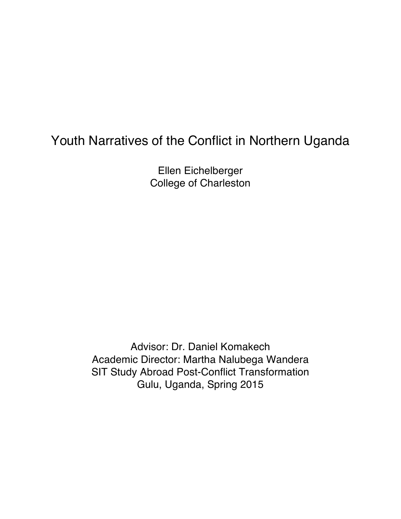# Youth Narratives of the Conflict in Northern Uganda

Ellen Eichelberger College of Charleston

Advisor: Dr. Daniel Komakech Academic Director: Martha Nalubega Wandera SIT Study Abroad Post-Conflict Transformation Gulu, Uganda, Spring 2015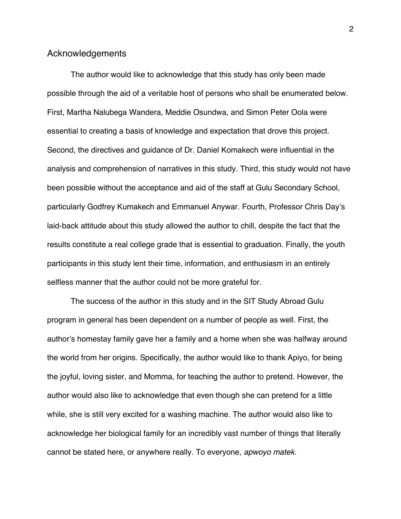# Acknowledgements

The author would like to acknowledge that this study has only been made possible through the aid of a veritable host of persons who shall be enumerated below. First, Martha Nalubega Wandera, Meddie Osundwa, and Simon Peter Oola were essential to creating a basis of knowledge and expectation that drove this project. Second, the directives and guidance of Dr. Daniel Komakech were influential in the analysis and comprehension of narratives in this study. Third, this study would not have been possible without the acceptance and aid of the staff at Gulu Secondary School, particularly Godfrey Kumakech and Emmanuel Anywar. Fourth, Professor Chris Day's laid-back attitude about this study allowed the author to chill, despite the fact that the results constitute a real college grade that is essential to graduation. Finally, the youth participants in this study lent their time, information, and enthusiasm in an entirely selfless manner that the author could not be more grateful for.

The success of the author in this study and in the SIT Study Abroad Gulu program in general has been dependent on a number of people as well. First, the author's homestay family gave her a family and a home when she was halfway around the world from her origins. Specifically, the author would like to thank Apiyo, for being the joyful, loving sister, and Momma, for teaching the author to pretend. However, the author would also like to acknowledge that even though she can pretend for a little while, she is still very excited for a washing machine. The author would also like to acknowledge her biological family for an incredibly vast number of things that literally cannot be stated here, or anywhere really. To everyone, *apwoyo matek.*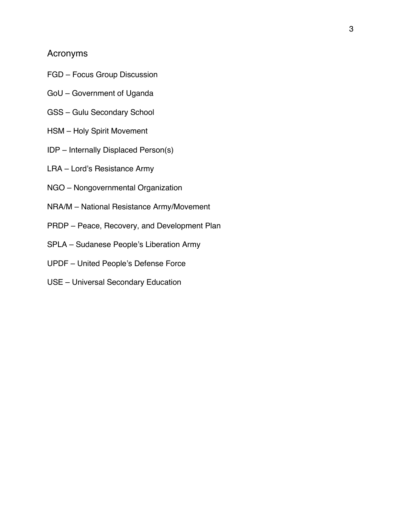# Acronyms

- FGD Focus Group Discussion
- GoU Government of Uganda
- GSS Gulu Secondary School
- HSM Holy Spirit Movement
- IDP Internally Displaced Person(s)
- LRA Lord's Resistance Army
- NGO Nongovernmental Organization
- NRA/M National Resistance Army/Movement
- PRDP Peace, Recovery, and Development Plan
- SPLA Sudanese People's Liberation Army
- UPDF United People's Defense Force
- USE Universal Secondary Education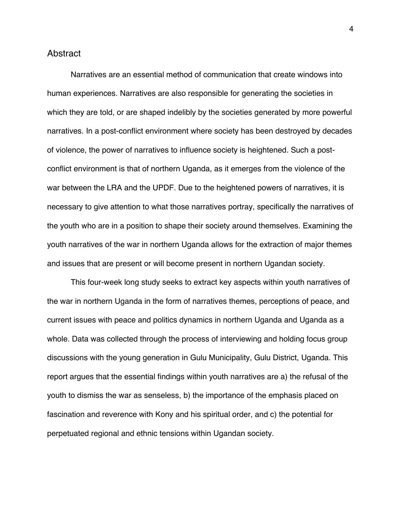## Abstract

Narratives are an essential method of communication that create windows into human experiences. Narratives are also responsible for generating the societies in which they are told, or are shaped indelibly by the societies generated by more powerful narratives. In a post-conflict environment where society has been destroyed by decades of violence, the power of narratives to influence society is heightened. Such a postconflict environment is that of northern Uganda, as it emerges from the violence of the war between the LRA and the UPDF. Due to the heightened powers of narratives, it is necessary to give attention to what those narratives portray, specifically the narratives of the youth who are in a position to shape their society around themselves. Examining the youth narratives of the war in northern Uganda allows for the extraction of major themes and issues that are present or will become present in northern Ugandan society.

This four-week long study seeks to extract key aspects within youth narratives of the war in northern Uganda in the form of narratives themes, perceptions of peace, and current issues with peace and politics dynamics in northern Uganda and Uganda as a whole. Data was collected through the process of interviewing and holding focus group discussions with the young generation in Gulu Municipality, Gulu District, Uganda. This report argues that the essential findings within youth narratives are a) the refusal of the youth to dismiss the war as senseless, b) the importance of the emphasis placed on fascination and reverence with Kony and his spiritual order, and c) the potential for perpetuated regional and ethnic tensions within Ugandan society.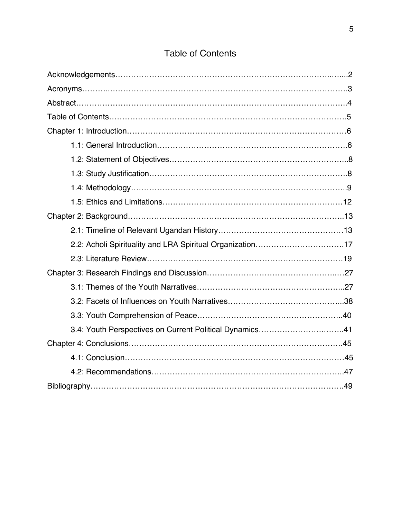| 2.2: Acholi Spirituality and LRA Spiritual Organization17 |  |
|-----------------------------------------------------------|--|
|                                                           |  |
|                                                           |  |
|                                                           |  |
|                                                           |  |
|                                                           |  |
| 3.4: Youth Perspectives on Current Political Dynamics41   |  |
|                                                           |  |
|                                                           |  |
|                                                           |  |
|                                                           |  |

# Table of Contents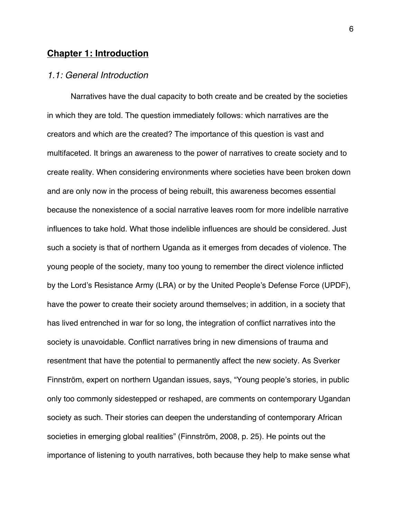# **Chapter 1: Introduction**

# *1.1: General Introduction*

Narratives have the dual capacity to both create and be created by the societies in which they are told. The question immediately follows: which narratives are the creators and which are the created? The importance of this question is vast and multifaceted. It brings an awareness to the power of narratives to create society and to create reality. When considering environments where societies have been broken down and are only now in the process of being rebuilt, this awareness becomes essential because the nonexistence of a social narrative leaves room for more indelible narrative influences to take hold. What those indelible influences are should be considered. Just such a society is that of northern Uganda as it emerges from decades of violence. The young people of the society, many too young to remember the direct violence inflicted by the Lord's Resistance Army (LRA) or by the United People's Defense Force (UPDF), have the power to create their society around themselves; in addition, in a society that has lived entrenched in war for so long, the integration of conflict narratives into the society is unavoidable. Conflict narratives bring in new dimensions of trauma and resentment that have the potential to permanently affect the new society. As Sverker Finnström, expert on northern Ugandan issues, says, "Young people's stories, in public only too commonly sidestepped or reshaped, are comments on contemporary Ugandan society as such. Their stories can deepen the understanding of contemporary African societies in emerging global realities" (Finnström, 2008, p. 25). He points out the importance of listening to youth narratives, both because they help to make sense what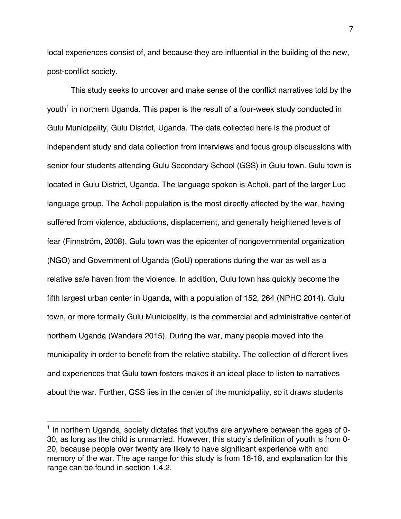local experiences consist of, and because they are influential in the building of the new, post-conflict society.

This study seeks to uncover and make sense of the conflict narratives told by the youth<sup>1</sup> in northern Uganda. This paper is the result of a four-week study conducted in Gulu Municipality, Gulu District, Uganda. The data collected here is the product of independent study and data collection from interviews and focus group discussions with senior four students attending Gulu Secondary School (GSS) in Gulu town. Gulu town is located in Gulu District, Uganda. The language spoken is Acholi, part of the larger Luo language group. The Acholi population is the most directly affected by the war, having suffered from violence, abductions, displacement, and generally heightened levels of fear (Finnström, 2008). Gulu town was the epicenter of nongovernmental organization (NGO) and Government of Uganda (GoU) operations during the war as well as a relative safe haven from the violence. In addition, Gulu town has quickly become the fifth largest urban center in Uganda, with a population of 152, 264 (NPHC 2014). Gulu town, or more formally Gulu Municipality, is the commercial and administrative center of northern Uganda (Wandera 2015). During the war, many people moved into the municipality in order to benefit from the relative stability. The collection of different lives and experiences that Gulu town fosters makes it an ideal place to listen to narratives about the war. Further, GSS lies in the center of the municipality, so it draws students

!!!!!!!!!!!!!!!!!!!!!!!!!!!!!!!!!!!!!!!!!!!!!!!!!!!!!!!

 $1$  In northern Uganda, society dictates that youths are anywhere between the ages of 0-30, as long as the child is unmarried. However, this study's definition of youth is from 0- 20, because people over twenty are likely to have significant experience with and memory of the war. The age range for this study is from 16-18, and explanation for this range can be found in section 1.4.2.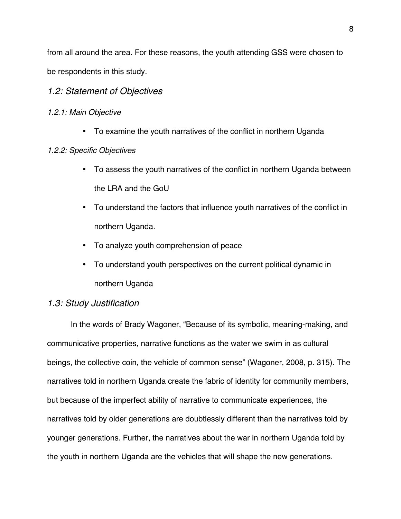from all around the area. For these reasons, the youth attending GSS were chosen to be respondents in this study.

# *1.2: Statement of Objectives*

## *1.2.1: Main Objective*

• To examine the youth narratives of the conflict in northern Uganda

## *1.2.2: Specific Objectives*

- To assess the youth narratives of the conflict in northern Uganda between the LRA and the GoU
- To understand the factors that influence youth narratives of the conflict in northern Uganda.
- To analyze youth comprehension of peace
- To understand youth perspectives on the current political dynamic in northern Uganda

# *1.3: Study Justification*

In the words of Brady Wagoner, "Because of its symbolic, meaning-making, and communicative properties, narrative functions as the water we swim in as cultural beings, the collective coin, the vehicle of common sense" (Wagoner, 2008, p. 315). The narratives told in northern Uganda create the fabric of identity for community members, but because of the imperfect ability of narrative to communicate experiences, the narratives told by older generations are doubtlessly different than the narratives told by younger generations. Further, the narratives about the war in northern Uganda told by the youth in northern Uganda are the vehicles that will shape the new generations.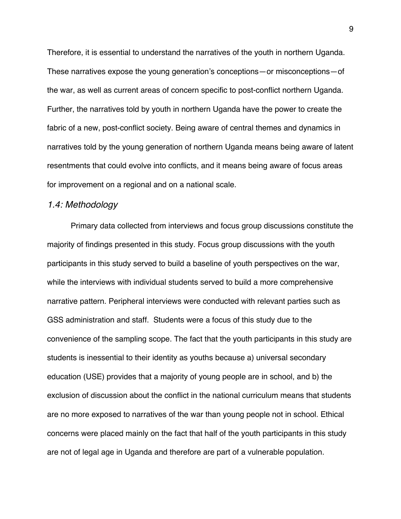Therefore, it is essential to understand the narratives of the youth in northern Uganda. These narratives expose the young generation's conceptions—or misconceptions—of the war, as well as current areas of concern specific to post-conflict northern Uganda. Further, the narratives told by youth in northern Uganda have the power to create the fabric of a new, post-conflict society. Being aware of central themes and dynamics in narratives told by the young generation of northern Uganda means being aware of latent resentments that could evolve into conflicts, and it means being aware of focus areas for improvement on a regional and on a national scale.

#### *1.4: Methodology*

Primary data collected from interviews and focus group discussions constitute the majority of findings presented in this study. Focus group discussions with the youth participants in this study served to build a baseline of youth perspectives on the war, while the interviews with individual students served to build a more comprehensive narrative pattern. Peripheral interviews were conducted with relevant parties such as GSS administration and staff. Students were a focus of this study due to the convenience of the sampling scope. The fact that the youth participants in this study are students is inessential to their identity as youths because a) universal secondary education (USE) provides that a majority of young people are in school, and b) the exclusion of discussion about the conflict in the national curriculum means that students are no more exposed to narratives of the war than young people not in school. Ethical concerns were placed mainly on the fact that half of the youth participants in this study are not of legal age in Uganda and therefore are part of a vulnerable population.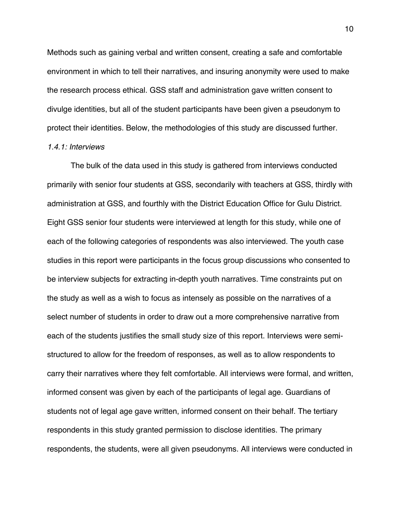Methods such as gaining verbal and written consent, creating a safe and comfortable environment in which to tell their narratives, and insuring anonymity were used to make the research process ethical. GSS staff and administration gave written consent to divulge identities, but all of the student participants have been given a pseudonym to protect their identities. Below, the methodologies of this study are discussed further.

#### *1.4.1: Interviews*

The bulk of the data used in this study is gathered from interviews conducted primarily with senior four students at GSS, secondarily with teachers at GSS, thirdly with administration at GSS, and fourthly with the District Education Office for Gulu District. Eight GSS senior four students were interviewed at length for this study, while one of each of the following categories of respondents was also interviewed. The youth case studies in this report were participants in the focus group discussions who consented to be interview subjects for extracting in-depth youth narratives. Time constraints put on the study as well as a wish to focus as intensely as possible on the narratives of a select number of students in order to draw out a more comprehensive narrative from each of the students justifies the small study size of this report. Interviews were semistructured to allow for the freedom of responses, as well as to allow respondents to carry their narratives where they felt comfortable. All interviews were formal, and written, informed consent was given by each of the participants of legal age. Guardians of students not of legal age gave written, informed consent on their behalf. The tertiary respondents in this study granted permission to disclose identities. The primary respondents, the students, were all given pseudonyms. All interviews were conducted in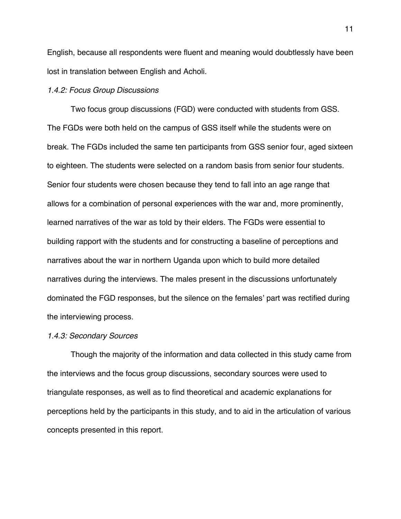English, because all respondents were fluent and meaning would doubtlessly have been lost in translation between English and Acholi.

#### *1.4.2: Focus Group Discussions*

Two focus group discussions (FGD) were conducted with students from GSS. The FGDs were both held on the campus of GSS itself while the students were on break. The FGDs included the same ten participants from GSS senior four, aged sixteen to eighteen. The students were selected on a random basis from senior four students. Senior four students were chosen because they tend to fall into an age range that allows for a combination of personal experiences with the war and, more prominently, learned narratives of the war as told by their elders. The FGDs were essential to building rapport with the students and for constructing a baseline of perceptions and narratives about the war in northern Uganda upon which to build more detailed narratives during the interviews. The males present in the discussions unfortunately dominated the FGD responses, but the silence on the females' part was rectified during the interviewing process.

#### *1.4.3: Secondary Sources*

Though the majority of the information and data collected in this study came from the interviews and the focus group discussions, secondary sources were used to triangulate responses, as well as to find theoretical and academic explanations for perceptions held by the participants in this study, and to aid in the articulation of various concepts presented in this report.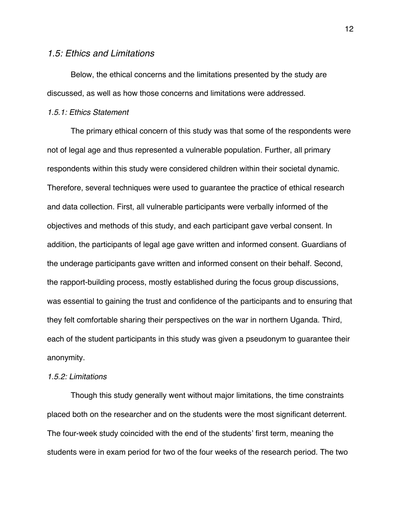#### *1.5: Ethics and Limitations*

Below, the ethical concerns and the limitations presented by the study are discussed, as well as how those concerns and limitations were addressed.

# *1.5.1: Ethics Statement*

The primary ethical concern of this study was that some of the respondents were not of legal age and thus represented a vulnerable population. Further, all primary respondents within this study were considered children within their societal dynamic. Therefore, several techniques were used to guarantee the practice of ethical research and data collection. First, all vulnerable participants were verbally informed of the objectives and methods of this study, and each participant gave verbal consent. In addition, the participants of legal age gave written and informed consent. Guardians of the underage participants gave written and informed consent on their behalf. Second, the rapport-building process, mostly established during the focus group discussions, was essential to gaining the trust and confidence of the participants and to ensuring that they felt comfortable sharing their perspectives on the war in northern Uganda. Third, each of the student participants in this study was given a pseudonym to guarantee their anonymity.

#### *1.5.2: Limitations*

Though this study generally went without major limitations, the time constraints placed both on the researcher and on the students were the most significant deterrent. The four-week study coincided with the end of the students' first term, meaning the students were in exam period for two of the four weeks of the research period. The two

12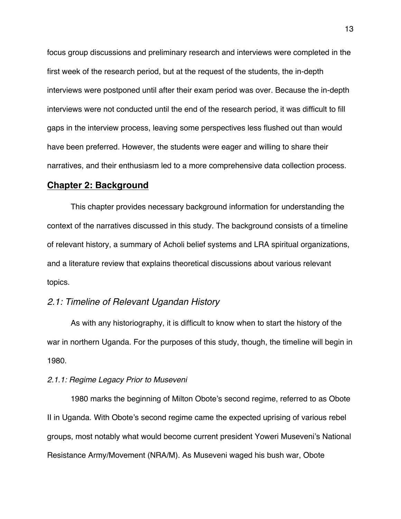focus group discussions and preliminary research and interviews were completed in the first week of the research period, but at the request of the students, the in-depth interviews were postponed until after their exam period was over. Because the in-depth interviews were not conducted until the end of the research period, it was difficult to fill gaps in the interview process, leaving some perspectives less flushed out than would have been preferred. However, the students were eager and willing to share their narratives, and their enthusiasm led to a more comprehensive data collection process.

# **Chapter 2: Background**

This chapter provides necessary background information for understanding the context of the narratives discussed in this study. The background consists of a timeline of relevant history, a summary of Acholi belief systems and LRA spiritual organizations, and a literature review that explains theoretical discussions about various relevant topics.

# *2.1: Timeline of Relevant Ugandan History*

As with any historiography, it is difficult to know when to start the history of the war in northern Uganda. For the purposes of this study, though, the timeline will begin in 1980.

#### *2.1.1: Regime Legacy Prior to Museveni*

1980 marks the beginning of Milton Obote's second regime, referred to as Obote II in Uganda. With Obote's second regime came the expected uprising of various rebel groups, most notably what would become current president Yoweri Museveni's National Resistance Army/Movement (NRA/M). As Museveni waged his bush war, Obote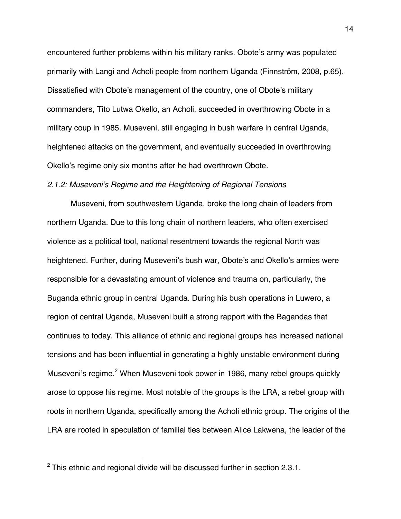encountered further problems within his military ranks. Obote's army was populated primarily with Langi and Acholi people from northern Uganda (Finnström, 2008, p.65). Dissatisfied with Obote's management of the country, one of Obote's military commanders, Tito Lutwa Okello, an Acholi, succeeded in overthrowing Obote in a military coup in 1985. Museveni, still engaging in bush warfare in central Uganda, heightened attacks on the government, and eventually succeeded in overthrowing Okello's regime only six months after he had overthrown Obote.

#### *2.1.2: Museveni's Regime and the Heightening of Regional Tensions*

Museveni, from southwestern Uganda, broke the long chain of leaders from northern Uganda. Due to this long chain of northern leaders, who often exercised violence as a political tool, national resentment towards the regional North was heightened. Further, during Museveni's bush war, Obote's and Okello's armies were responsible for a devastating amount of violence and trauma on, particularly, the Buganda ethnic group in central Uganda. During his bush operations in Luwero, a region of central Uganda, Museveni built a strong rapport with the Bagandas that continues to today. This alliance of ethnic and regional groups has increased national tensions and has been influential in generating a highly unstable environment during Museveni's regime.<sup>2</sup> When Museveni took power in 1986, many rebel groups quickly arose to oppose his regime. Most notable of the groups is the LRA, a rebel group with roots in northern Uganda, specifically among the Acholi ethnic group. The origins of the LRA are rooted in speculation of familial ties between Alice Lakwena, the leader of the

!!!!!!!!!!!!!!!!!!!!!!!!!!!!!!!!!!!!!!!!!!!!!!!!!!!!!!!

 $2$  This ethnic and regional divide will be discussed further in section 2.3.1.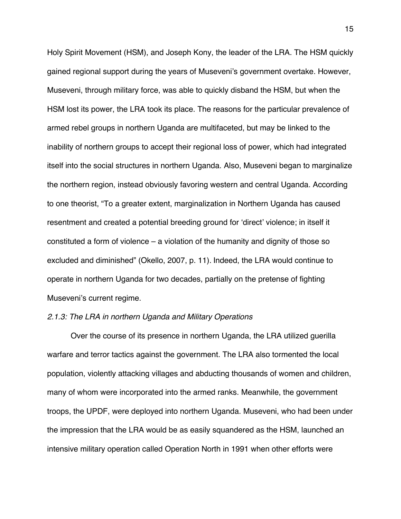Holy Spirit Movement (HSM), and Joseph Kony, the leader of the LRA. The HSM quickly gained regional support during the years of Museveni's government overtake. However, Museveni, through military force, was able to quickly disband the HSM, but when the HSM lost its power, the LRA took its place. The reasons for the particular prevalence of armed rebel groups in northern Uganda are multifaceted, but may be linked to the inability of northern groups to accept their regional loss of power, which had integrated itself into the social structures in northern Uganda. Also, Museveni began to marginalize the northern region, instead obviously favoring western and central Uganda. According to one theorist, "To a greater extent, marginalization in Northern Uganda has caused resentment and created a potential breeding ground for 'direct' violence; in itself it constituted a form of violence – a violation of the humanity and dignity of those so excluded and diminished" (Okello, 2007, p. 11). Indeed, the LRA would continue to operate in northern Uganda for two decades, partially on the pretense of fighting Museveni's current regime.

#### *2.1.3: The LRA in northern Uganda and Military Operations*

Over the course of its presence in northern Uganda, the LRA utilized guerilla warfare and terror tactics against the government. The LRA also tormented the local population, violently attacking villages and abducting thousands of women and children, many of whom were incorporated into the armed ranks. Meanwhile, the government troops, the UPDF, were deployed into northern Uganda. Museveni, who had been under the impression that the LRA would be as easily squandered as the HSM, launched an intensive military operation called Operation North in 1991 when other efforts were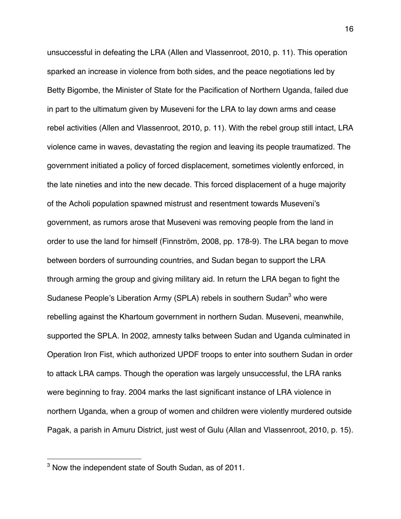unsuccessful in defeating the LRA (Allen and Vlassenroot, 2010, p. 11). This operation sparked an increase in violence from both sides, and the peace negotiations led by Betty Bigombe, the Minister of State for the Pacification of Northern Uganda, failed due in part to the ultimatum given by Museveni for the LRA to lay down arms and cease rebel activities (Allen and Vlassenroot, 2010, p. 11). With the rebel group still intact, LRA violence came in waves, devastating the region and leaving its people traumatized. The government initiated a policy of forced displacement, sometimes violently enforced, in the late nineties and into the new decade. This forced displacement of a huge majority of the Acholi population spawned mistrust and resentment towards Museveni's government, as rumors arose that Museveni was removing people from the land in order to use the land for himself (Finnström, 2008, pp. 178-9). The LRA began to move between borders of surrounding countries, and Sudan began to support the LRA through arming the group and giving military aid. In return the LRA began to fight the Sudanese People's Liberation Army (SPLA) rebels in southern Sudan<sup>3</sup> who were rebelling against the Khartoum government in northern Sudan. Museveni, meanwhile, supported the SPLA. In 2002, amnesty talks between Sudan and Uganda culminated in Operation Iron Fist, which authorized UPDF troops to enter into southern Sudan in order to attack LRA camps. Though the operation was largely unsuccessful, the LRA ranks were beginning to fray. 2004 marks the last significant instance of LRA violence in northern Uganda, when a group of women and children were violently murdered outside Pagak, a parish in Amuru District, just west of Gulu (Allan and Vlassenroot, 2010, p. 15).

!!!!!!!!!!!!!!!!!!!!!!!!!!!!!!!!!!!!!!!!!!!!!!!!!!!!!!!

<sup>3</sup> Now the independent state of South Sudan, as of 2011.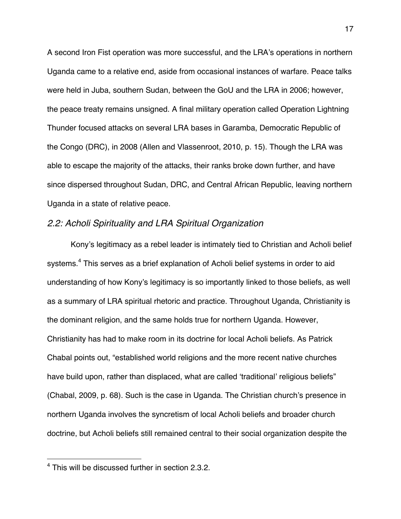A second Iron Fist operation was more successful, and the LRA's operations in northern Uganda came to a relative end, aside from occasional instances of warfare. Peace talks were held in Juba, southern Sudan, between the GoU and the LRA in 2006; however, the peace treaty remains unsigned. A final military operation called Operation Lightning Thunder focused attacks on several LRA bases in Garamba, Democratic Republic of the Congo (DRC), in 2008 (Allen and Vlassenroot, 2010, p. 15). Though the LRA was able to escape the majority of the attacks, their ranks broke down further, and have since dispersed throughout Sudan, DRC, and Central African Republic, leaving northern Uganda in a state of relative peace.

# *2.2: Acholi Spirituality and LRA Spiritual Organization*

Kony's legitimacy as a rebel leader is intimately tied to Christian and Acholi belief systems.<sup>4</sup> This serves as a brief explanation of Acholi belief systems in order to aid understanding of how Kony's legitimacy is so importantly linked to those beliefs, as well as a summary of LRA spiritual rhetoric and practice. Throughout Uganda, Christianity is the dominant religion, and the same holds true for northern Uganda. However, Christianity has had to make room in its doctrine for local Acholi beliefs. As Patrick Chabal points out, "established world religions and the more recent native churches have build upon, rather than displaced, what are called 'traditional' religious beliefs" (Chabal, 2009, p. 68). Such is the case in Uganda. The Christian church's presence in northern Uganda involves the syncretism of local Acholi beliefs and broader church doctrine, but Acholi beliefs still remained central to their social organization despite the

!!!!!!!!!!!!!!!!!!!!!!!!!!!!!!!!!!!!!!!!!!!!!!!!!!!!!!!

<sup>&</sup>lt;sup>4</sup> This will be discussed further in section 2.3.2.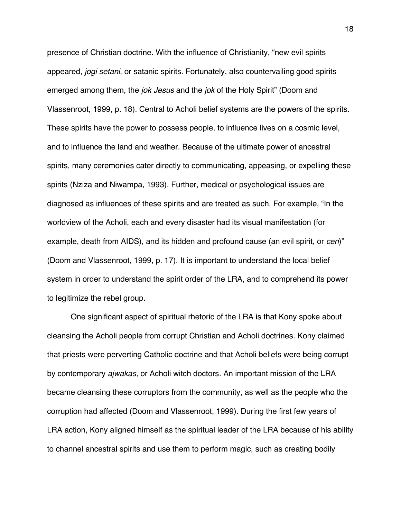presence of Christian doctrine. With the influence of Christianity, "new evil spirits appeared, *jogi setani*, or satanic spirits. Fortunately, also countervailing good spirits emerged among them, the *jok Jesus* and the *jok* of the Holy Spirit" (Doom and Vlassenroot, 1999, p. 18). Central to Acholi belief systems are the powers of the spirits. These spirits have the power to possess people, to influence lives on a cosmic level, and to influence the land and weather. Because of the ultimate power of ancestral spirits, many ceremonies cater directly to communicating, appeasing, or expelling these spirits (Nziza and Niwampa, 1993). Further, medical or psychological issues are diagnosed as influences of these spirits and are treated as such. For example, "In the worldview of the Acholi, each and every disaster had its visual manifestation (for example, death from AIDS), and its hidden and profound cause (an evil spirit, or *cen*)" (Doom and Vlassenroot, 1999, p. 17). It is important to understand the local belief system in order to understand the spirit order of the LRA, and to comprehend its power to legitimize the rebel group.

One significant aspect of spiritual rhetoric of the LRA is that Kony spoke about cleansing the Acholi people from corrupt Christian and Acholi doctrines. Kony claimed that priests were perverting Catholic doctrine and that Acholi beliefs were being corrupt by contemporary *ajwakas,* or Acholi witch doctors*.* An important mission of the LRA became cleansing these corruptors from the community, as well as the people who the corruption had affected (Doom and Vlassenroot, 1999). During the first few years of LRA action, Kony aligned himself as the spiritual leader of the LRA because of his ability to channel ancestral spirits and use them to perform magic, such as creating bodily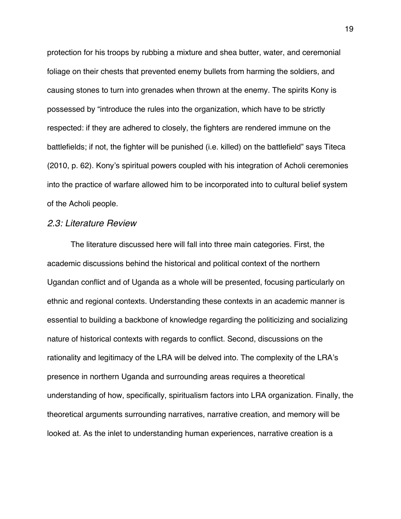protection for his troops by rubbing a mixture and shea butter, water, and ceremonial foliage on their chests that prevented enemy bullets from harming the soldiers, and causing stones to turn into grenades when thrown at the enemy. The spirits Kony is possessed by "introduce the rules into the organization, which have to be strictly respected: if they are adhered to closely, the fighters are rendered immune on the battlefields; if not, the fighter will be punished (i.e. killed) on the battlefield" says Titeca (2010, p. 62). Kony's spiritual powers coupled with his integration of Acholi ceremonies into the practice of warfare allowed him to be incorporated into to cultural belief system of the Acholi people.

# *2.3: Literature Review*

The literature discussed here will fall into three main categories. First, the academic discussions behind the historical and political context of the northern Ugandan conflict and of Uganda as a whole will be presented, focusing particularly on ethnic and regional contexts. Understanding these contexts in an academic manner is essential to building a backbone of knowledge regarding the politicizing and socializing nature of historical contexts with regards to conflict. Second, discussions on the rationality and legitimacy of the LRA will be delved into. The complexity of the LRA's presence in northern Uganda and surrounding areas requires a theoretical understanding of how, specifically, spiritualism factors into LRA organization. Finally, the theoretical arguments surrounding narratives, narrative creation, and memory will be looked at. As the inlet to understanding human experiences, narrative creation is a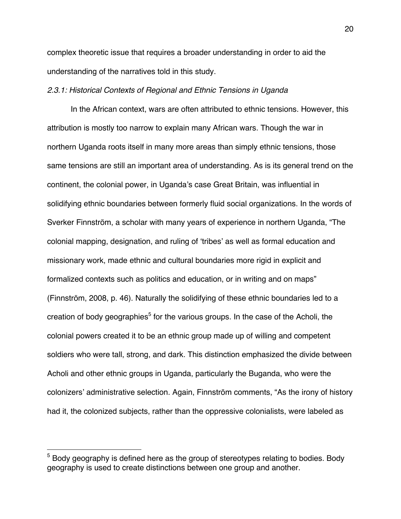complex theoretic issue that requires a broader understanding in order to aid the understanding of the narratives told in this study.

#### *2.3.1: Historical Contexts of Regional and Ethnic Tensions in Uganda*

In the African context, wars are often attributed to ethnic tensions. However, this attribution is mostly too narrow to explain many African wars. Though the war in northern Uganda roots itself in many more areas than simply ethnic tensions, those same tensions are still an important area of understanding. As is its general trend on the continent, the colonial power, in Uganda's case Great Britain, was influential in solidifying ethnic boundaries between formerly fluid social organizations. In the words of Sverker Finnström, a scholar with many years of experience in northern Uganda, "The colonial mapping, designation, and ruling of 'tribes' as well as formal education and missionary work, made ethnic and cultural boundaries more rigid in explicit and formalized contexts such as politics and education, or in writing and on maps" (Finnström, 2008, p. 46). Naturally the solidifying of these ethnic boundaries led to a creation of body geographies<sup>5</sup> for the various groups. In the case of the Acholi, the colonial powers created it to be an ethnic group made up of willing and competent soldiers who were tall, strong, and dark. This distinction emphasized the divide between Acholi and other ethnic groups in Uganda, particularly the Buganda, who were the colonizers' administrative selection. Again, Finnström comments, "As the irony of history had it, the colonized subjects, rather than the oppressive colonialists, were labeled as

!!!!!!!!!!!!!!!!!!!!!!!!!!!!!!!!!!!!!!!!!!!!!!!!!!!!!!!

 $5$  Bodv geography is defined here as the group of stereotypes relating to bodies. Body geography is used to create distinctions between one group and another.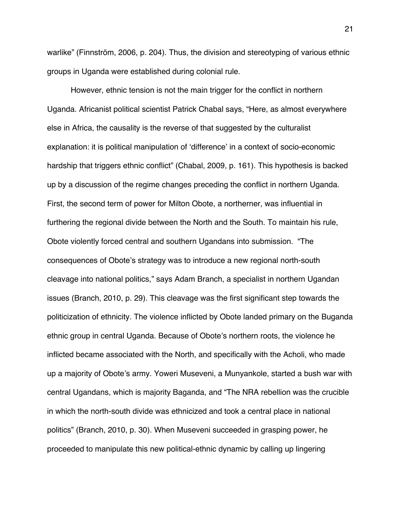warlike" (Finnström, 2006, p. 204). Thus, the division and stereotyping of various ethnic groups in Uganda were established during colonial rule.

However, ethnic tension is not the main trigger for the conflict in northern Uganda. Africanist political scientist Patrick Chabal says, "Here, as almost everywhere else in Africa, the causality is the reverse of that suggested by the culturalist explanation: it is political manipulation of 'difference' in a context of socio-economic hardship that triggers ethnic conflict" (Chabal, 2009, p. 161). This hypothesis is backed up by a discussion of the regime changes preceding the conflict in northern Uganda. First, the second term of power for Milton Obote, a northerner, was influential in furthering the regional divide between the North and the South. To maintain his rule, Obote violently forced central and southern Ugandans into submission. "The consequences of Obote's strategy was to introduce a new regional north-south cleavage into national politics," says Adam Branch, a specialist in northern Ugandan issues (Branch, 2010, p. 29). This cleavage was the first significant step towards the politicization of ethnicity. The violence inflicted by Obote landed primary on the Buganda ethnic group in central Uganda. Because of Obote's northern roots, the violence he inflicted became associated with the North, and specifically with the Acholi, who made up a majority of Obote's army. Yoweri Museveni, a Munyankole, started a bush war with central Ugandans, which is majority Baganda, and "The NRA rebellion was the crucible in which the north-south divide was ethnicized and took a central place in national politics" (Branch, 2010, p. 30). When Museveni succeeded in grasping power, he proceeded to manipulate this new political-ethnic dynamic by calling up lingering

21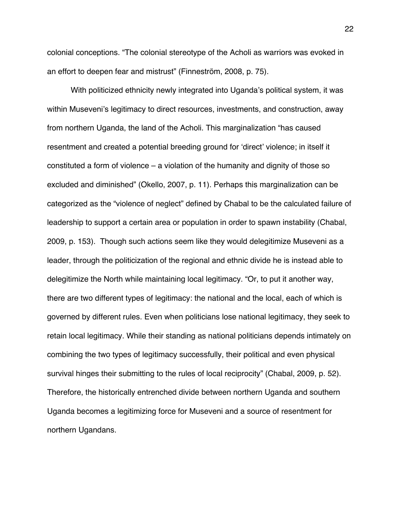colonial conceptions. "The colonial stereotype of the Acholi as warriors was evoked in an effort to deepen fear and mistrust" (Finneström, 2008, p. 75).

With politicized ethnicity newly integrated into Uganda's political system, it was within Museveni's legitimacy to direct resources, investments, and construction, away from northern Uganda, the land of the Acholi. This marginalization "has caused resentment and created a potential breeding ground for 'direct' violence; in itself it constituted a form of violence – a violation of the humanity and dignity of those so excluded and diminished" (Okello, 2007, p. 11). Perhaps this marginalization can be categorized as the "violence of neglect" defined by Chabal to be the calculated failure of leadership to support a certain area or population in order to spawn instability (Chabal, 2009, p. 153). Though such actions seem like they would delegitimize Museveni as a leader, through the politicization of the regional and ethnic divide he is instead able to delegitimize the North while maintaining local legitimacy. "Or, to put it another way, there are two different types of legitimacy: the national and the local, each of which is governed by different rules. Even when politicians lose national legitimacy, they seek to retain local legitimacy. While their standing as national politicians depends intimately on combining the two types of legitimacy successfully, their political and even physical survival hinges their submitting to the rules of local reciprocity" (Chabal, 2009, p. 52). Therefore, the historically entrenched divide between northern Uganda and southern Uganda becomes a legitimizing force for Museveni and a source of resentment for northern Ugandans.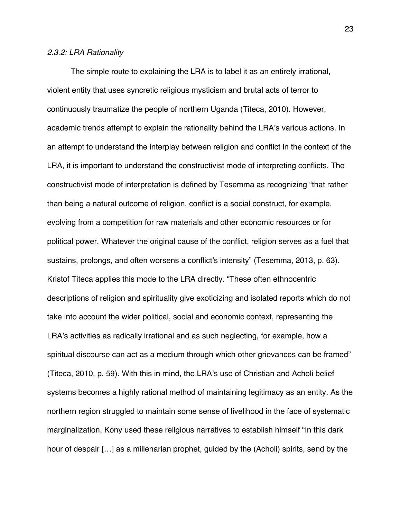#### *2.3.2: LRA Rationality*

The simple route to explaining the LRA is to label it as an entirely irrational, violent entity that uses syncretic religious mysticism and brutal acts of terror to continuously traumatize the people of northern Uganda (Titeca, 2010). However, academic trends attempt to explain the rationality behind the LRA's various actions. In an attempt to understand the interplay between religion and conflict in the context of the LRA, it is important to understand the constructivist mode of interpreting conflicts. The constructivist mode of interpretation is defined by Tesemma as recognizing "that rather than being a natural outcome of religion, conflict is a social construct, for example, evolving from a competition for raw materials and other economic resources or for political power. Whatever the original cause of the conflict, religion serves as a fuel that sustains, prolongs, and often worsens a conflict's intensity" (Tesemma, 2013, p. 63). Kristof Titeca applies this mode to the LRA directly. "These often ethnocentric descriptions of religion and spirituality give exoticizing and isolated reports which do not take into account the wider political, social and economic context, representing the LRA's activities as radically irrational and as such neglecting, for example, how a spiritual discourse can act as a medium through which other grievances can be framed" (Titeca, 2010, p. 59). With this in mind, the LRA's use of Christian and Acholi belief systems becomes a highly rational method of maintaining legitimacy as an entity. As the northern region struggled to maintain some sense of livelihood in the face of systematic marginalization, Kony used these religious narratives to establish himself "In this dark hour of despair […] as a millenarian prophet, guided by the (Acholi) spirits, send by the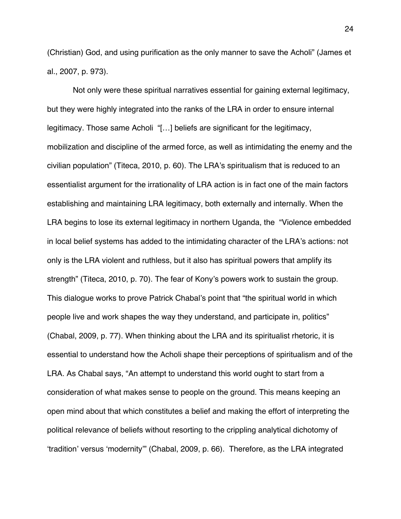(Christian) God, and using purification as the only manner to save the Acholi" (James et al., 2007, p. 973).

Not only were these spiritual narratives essential for gaining external legitimacy, but they were highly integrated into the ranks of the LRA in order to ensure internal legitimacy. Those same Acholi "[…] beliefs are significant for the legitimacy, mobilization and discipline of the armed force, as well as intimidating the enemy and the civilian population" (Titeca, 2010, p. 60). The LRA's spiritualism that is reduced to an essentialist argument for the irrationality of LRA action is in fact one of the main factors establishing and maintaining LRA legitimacy, both externally and internally. When the LRA begins to lose its external legitimacy in northern Uganda, the "Violence embedded in local belief systems has added to the intimidating character of the LRA's actions: not only is the LRA violent and ruthless, but it also has spiritual powers that amplify its strength" (Titeca, 2010, p. 70). The fear of Kony's powers work to sustain the group. This dialogue works to prove Patrick Chabal's point that "the spiritual world in which people live and work shapes the way they understand, and participate in, politics" (Chabal, 2009, p. 77). When thinking about the LRA and its spiritualist rhetoric, it is essential to understand how the Acholi shape their perceptions of spiritualism and of the LRA. As Chabal says, "An attempt to understand this world ought to start from a consideration of what makes sense to people on the ground. This means keeping an open mind about that which constitutes a belief and making the effort of interpreting the political relevance of beliefs without resorting to the crippling analytical dichotomy of 'tradition' versus 'modernity'" (Chabal, 2009, p. 66). Therefore, as the LRA integrated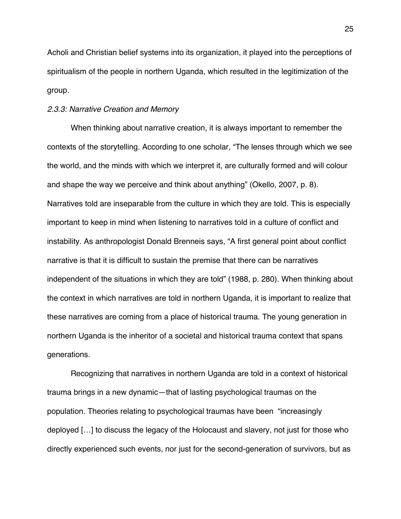Acholi and Christian belief systems into its organization, it played into the perceptions of spiritualism of the people in northern Uganda, which resulted in the legitimization of the group.

#### *2.3.3: Narrative Creation and Memory*

When thinking about narrative creation, it is always important to remember the contexts of the storytelling. According to one scholar, "The lenses through which we see the world, and the minds with which we interpret it, are culturally formed and will colour and shape the way we perceive and think about anything" (Okello, 2007, p. 8). Narratives told are inseparable from the culture in which they are told. This is especially important to keep in mind when listening to narratives told in a culture of conflict and instability. As anthropologist Donald Brenneis says, "A first general point about conflict narrative is that it is difficult to sustain the premise that there can be narratives independent of the situations in which they are told" (1988, p. 280). When thinking about the context in which narratives are told in northern Uganda, it is important to realize that these narratives are coming from a place of historical trauma. The young generation in northern Uganda is the inheritor of a societal and historical trauma context that spans generations.

Recognizing that narratives in northern Uganda are told in a context of historical trauma brings in a new dynamic—that of lasting psychological traumas on the population. Theories relating to psychological traumas have been "increasingly deployed […] to discuss the legacy of the Holocaust and slavery, not just for those who directly experienced such events, nor just for the second-generation of survivors, but as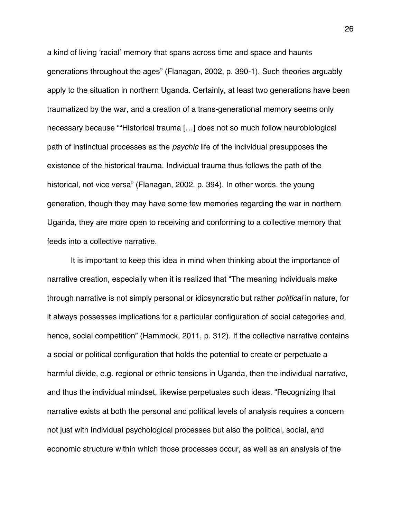a kind of living 'racial' memory that spans across time and space and haunts generations throughout the ages" (Flanagan, 2002, p. 390-1). Such theories arguably apply to the situation in northern Uganda. Certainly, at least two generations have been traumatized by the war, and a creation of a trans-generational memory seems only necessary because ""Historical trauma […] does not so much follow neurobiological path of instinctual processes as the *psychic* life of the individual presupposes the existence of the historical trauma. Individual trauma thus follows the path of the historical, not vice versa" (Flanagan, 2002, p. 394). In other words, the young generation, though they may have some few memories regarding the war in northern Uganda, they are more open to receiving and conforming to a collective memory that feeds into a collective narrative.

It is important to keep this idea in mind when thinking about the importance of narrative creation, especially when it is realized that "The meaning individuals make through narrative is not simply personal or idiosyncratic but rather *political* in nature, for it always possesses implications for a particular configuration of social categories and, hence, social competition" (Hammock, 2011, p. 312). If the collective narrative contains a social or political configuration that holds the potential to create or perpetuate a harmful divide, e.g. regional or ethnic tensions in Uganda, then the individual narrative, and thus the individual mindset, likewise perpetuates such ideas. "Recognizing that narrative exists at both the personal and political levels of analysis requires a concern not just with individual psychological processes but also the political, social, and economic structure within which those processes occur, as well as an analysis of the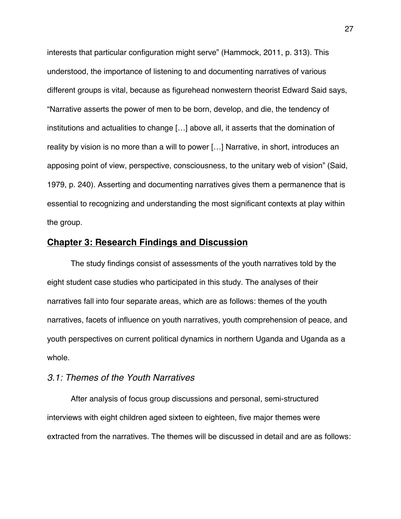interests that particular configuration might serve" (Hammock, 2011, p. 313). This understood, the importance of listening to and documenting narratives of various different groups is vital, because as figurehead nonwestern theorist Edward Said says, "Narrative asserts the power of men to be born, develop, and die, the tendency of institutions and actualities to change […] above all, it asserts that the domination of reality by vision is no more than a will to power […] Narrative, in short, introduces an apposing point of view, perspective, consciousness, to the unitary web of vision" (Said, 1979, p. 240). Asserting and documenting narratives gives them a permanence that is essential to recognizing and understanding the most significant contexts at play within the group.

# **Chapter 3: Research Findings and Discussion**

The study findings consist of assessments of the youth narratives told by the eight student case studies who participated in this study. The analyses of their narratives fall into four separate areas, which are as follows: themes of the youth narratives, facets of influence on youth narratives, youth comprehension of peace, and youth perspectives on current political dynamics in northern Uganda and Uganda as a whole.

# *3.1: Themes of the Youth Narratives*

After analysis of focus group discussions and personal, semi-structured interviews with eight children aged sixteen to eighteen, five major themes were extracted from the narratives. The themes will be discussed in detail and are as follows: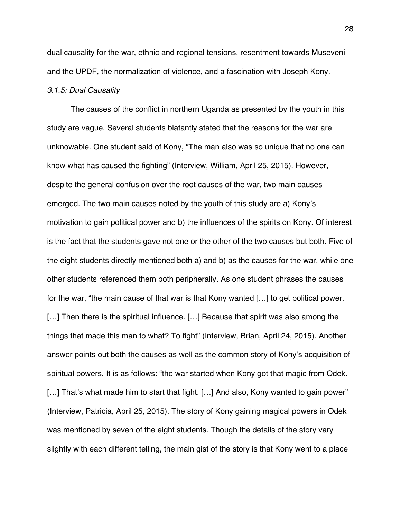dual causality for the war, ethnic and regional tensions, resentment towards Museveni and the UPDF, the normalization of violence, and a fascination with Joseph Kony.

# *3.1.5: Dual Causality*

The causes of the conflict in northern Uganda as presented by the youth in this study are vague. Several students blatantly stated that the reasons for the war are unknowable. One student said of Kony, "The man also was so unique that no one can know what has caused the fighting" (Interview, William, April 25, 2015). However, despite the general confusion over the root causes of the war, two main causes emerged. The two main causes noted by the youth of this study are a) Kony's motivation to gain political power and b) the influences of the spirits on Kony. Of interest is the fact that the students gave not one or the other of the two causes but both. Five of the eight students directly mentioned both a) and b) as the causes for the war, while one other students referenced them both peripherally. As one student phrases the causes for the war, "the main cause of that war is that Kony wanted […] to get political power. [...] Then there is the spiritual influence. [...] Because that spirit was also among the things that made this man to what? To fight" (Interview, Brian, April 24, 2015). Another answer points out both the causes as well as the common story of Kony's acquisition of spiritual powers. It is as follows: "the war started when Kony got that magic from Odek. [...] That's what made him to start that fight. [...] And also, Kony wanted to gain power" (Interview, Patricia, April 25, 2015). The story of Kony gaining magical powers in Odek was mentioned by seven of the eight students. Though the details of the story vary slightly with each different telling, the main gist of the story is that Kony went to a place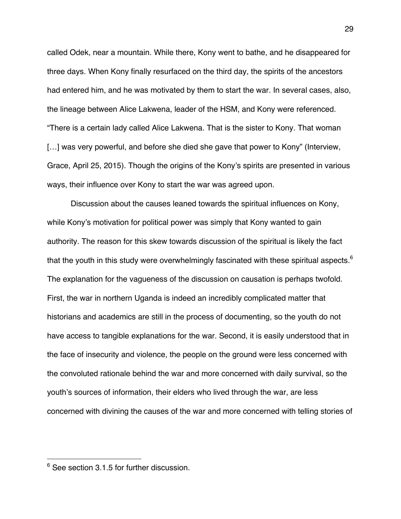called Odek, near a mountain. While there, Kony went to bathe, and he disappeared for three days. When Kony finally resurfaced on the third day, the spirits of the ancestors had entered him, and he was motivated by them to start the war. In several cases, also, the lineage between Alice Lakwena, leader of the HSM, and Kony were referenced. "There is a certain lady called Alice Lakwena. That is the sister to Kony. That woman [...] was very powerful, and before she died she gave that power to Kony" (Interview, Grace, April 25, 2015). Though the origins of the Kony's spirits are presented in various ways, their influence over Kony to start the war was agreed upon.

Discussion about the causes leaned towards the spiritual influences on Kony, while Kony's motivation for political power was simply that Kony wanted to gain authority. The reason for this skew towards discussion of the spiritual is likely the fact that the youth in this study were overwhelmingly fascinated with these spiritual aspects.<sup>6</sup> The explanation for the vagueness of the discussion on causation is perhaps twofold. First, the war in northern Uganda is indeed an incredibly complicated matter that historians and academics are still in the process of documenting, so the youth do not have access to tangible explanations for the war. Second, it is easily understood that in the face of insecurity and violence, the people on the ground were less concerned with the convoluted rationale behind the war and more concerned with daily survival, so the youth's sources of information, their elders who lived through the war, are less concerned with divining the causes of the war and more concerned with telling stories of

!!!!!!!!!!!!!!!!!!!!!!!!!!!!!!!!!!!!!!!!!!!!!!!!!!!!!!!

 $6$  See section 3.1.5 for further discussion.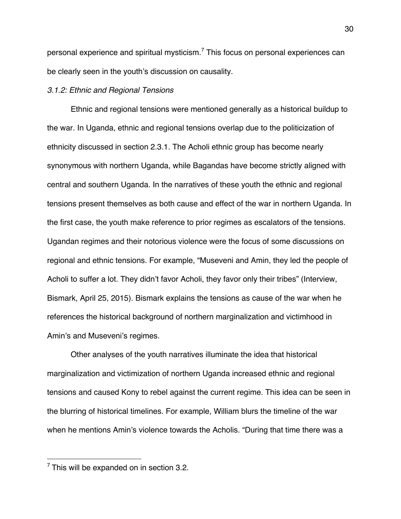personal experience and spiritual mysticism.<sup>7</sup> This focus on personal experiences can be clearly seen in the youth's discussion on causality.

## *3.1.2: Ethnic and Regional Tensions*

Ethnic and regional tensions were mentioned generally as a historical buildup to the war. In Uganda, ethnic and regional tensions overlap due to the politicization of ethnicity discussed in section 2.3.1. The Acholi ethnic group has become nearly synonymous with northern Uganda, while Bagandas have become strictly aligned with central and southern Uganda. In the narratives of these youth the ethnic and regional tensions present themselves as both cause and effect of the war in northern Uganda. In the first case, the youth make reference to prior regimes as escalators of the tensions. Ugandan regimes and their notorious violence were the focus of some discussions on regional and ethnic tensions. For example, "Museveni and Amin, they led the people of Acholi to suffer a lot. They didn't favor Acholi, they favor only their tribes" (Interview, Bismark, April 25, 2015). Bismark explains the tensions as cause of the war when he references the historical background of northern marginalization and victimhood in Amin's and Museveni's regimes.

Other analyses of the youth narratives illuminate the idea that historical marginalization and victimization of northern Uganda increased ethnic and regional tensions and caused Kony to rebel against the current regime. This idea can be seen in the blurring of historical timelines. For example, William blurs the timeline of the war when he mentions Amin's violence towards the Acholis. "During that time there was a

!!!!!!!!!!!!!!!!!!!!!!!!!!!!!!!!!!!!!!!!!!!!!!!!!!!!!!!

 $7$  This will be expanded on in section 3.2.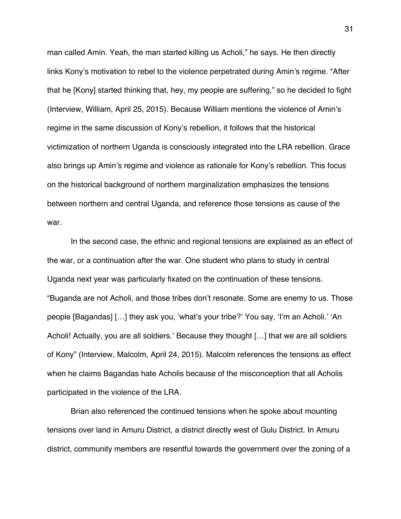man called Amin. Yeah, the man started killing us Acholi," he says. He then directly links Kony's motivation to rebel to the violence perpetrated during Amin's regime. "After that he [Kony] started thinking that, hey, my people are suffering," so he decided to fight (Interview, William, April 25, 2015). Because William mentions the violence of Amin's regime in the same discussion of Kony's rebellion, it follows that the historical victimization of northern Uganda is consciously integrated into the LRA rebellion. Grace also brings up Amin's regime and violence as rationale for Kony's rebellion. This focus on the historical background of northern marginalization emphasizes the tensions between northern and central Uganda, and reference those tensions as cause of the war.

In the second case, the ethnic and regional tensions are explained as an effect of the war, or a continuation after the war. One student who plans to study in central Uganda next year was particularly fixated on the continuation of these tensions. "Buganda are not Acholi, and those tribes don't resonate. Some are enemy to us. Those people [Bagandas] […] they ask you, 'what's your tribe?' You say, 'I'm an Acholi.' 'An Acholi! Actually, you are all soldiers.' Because they thought […] that we are all soldiers of Kony" (Interview, Malcolm, April 24, 2015). Malcolm references the tensions as effect when he claims Bagandas hate Acholis because of the misconception that all Acholis participated in the violence of the LRA.

Brian also referenced the continued tensions when he spoke about mounting tensions over land in Amuru District, a district directly west of Gulu District. In Amuru district, community members are resentful towards the government over the zoning of a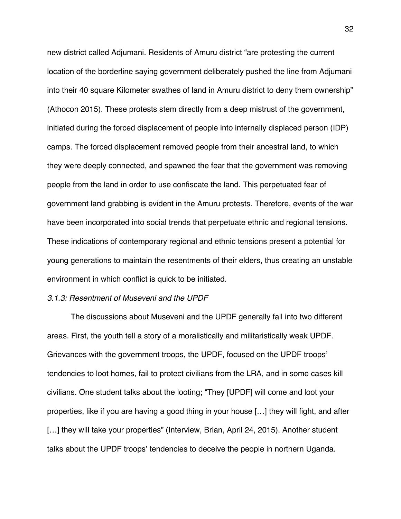new district called Adjumani. Residents of Amuru district "are protesting the current location of the borderline saying government deliberately pushed the line from Adjumani into their 40 square Kilometer swathes of land in Amuru district to deny them ownership" (Athocon 2015). These protests stem directly from a deep mistrust of the government, initiated during the forced displacement of people into internally displaced person (IDP) camps. The forced displacement removed people from their ancestral land, to which they were deeply connected, and spawned the fear that the government was removing people from the land in order to use confiscate the land. This perpetuated fear of government land grabbing is evident in the Amuru protests. Therefore, events of the war have been incorporated into social trends that perpetuate ethnic and regional tensions. These indications of contemporary regional and ethnic tensions present a potential for young generations to maintain the resentments of their elders, thus creating an unstable environment in which conflict is quick to be initiated.

#### *3.1.3: Resentment of Museveni and the UPDF*

The discussions about Museveni and the UPDF generally fall into two different areas. First, the youth tell a story of a moralistically and militaristically weak UPDF. Grievances with the government troops, the UPDF, focused on the UPDF troops' tendencies to loot homes, fail to protect civilians from the LRA, and in some cases kill civilians. One student talks about the looting; "They [UPDF] will come and loot your properties, like if you are having a good thing in your house […] they will fight, and after [...] they will take your properties" (Interview, Brian, April 24, 2015). Another student talks about the UPDF troops' tendencies to deceive the people in northern Uganda.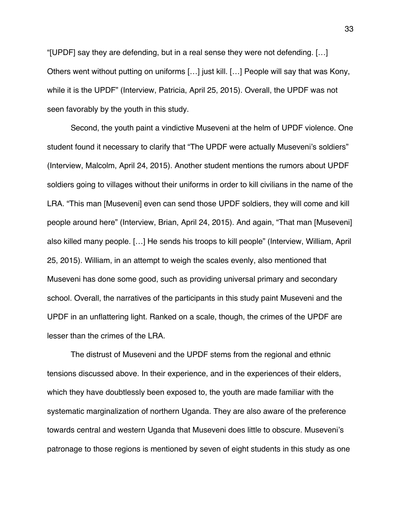"[UPDF] say they are defending, but in a real sense they were not defending. […] Others went without putting on uniforms […] just kill. […] People will say that was Kony, while it is the UPDF" (Interview, Patricia, April 25, 2015). Overall, the UPDF was not seen favorably by the youth in this study.

Second, the youth paint a vindictive Museveni at the helm of UPDF violence. One student found it necessary to clarify that "The UPDF were actually Museveni's soldiers" (Interview, Malcolm, April 24, 2015). Another student mentions the rumors about UPDF soldiers going to villages without their uniforms in order to kill civilians in the name of the LRA. "This man [Museveni] even can send those UPDF soldiers, they will come and kill people around here" (Interview, Brian, April 24, 2015). And again, "That man [Museveni] also killed many people. […] He sends his troops to kill people" (Interview, William, April 25, 2015). William, in an attempt to weigh the scales evenly, also mentioned that Museveni has done some good, such as providing universal primary and secondary school. Overall, the narratives of the participants in this study paint Museveni and the UPDF in an unflattering light. Ranked on a scale, though, the crimes of the UPDF are lesser than the crimes of the LRA.

The distrust of Museveni and the UPDF stems from the regional and ethnic tensions discussed above. In their experience, and in the experiences of their elders, which they have doubtlessly been exposed to, the youth are made familiar with the systematic marginalization of northern Uganda. They are also aware of the preference towards central and western Uganda that Museveni does little to obscure. Museveni's patronage to those regions is mentioned by seven of eight students in this study as one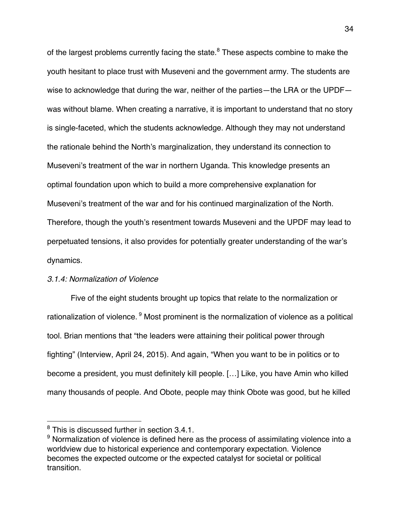of the largest problems currently facing the state.<sup>8</sup> These aspects combine to make the youth hesitant to place trust with Museveni and the government army. The students are wise to acknowledge that during the war, neither of the parties—the LRA or the UPDF was without blame. When creating a narrative, it is important to understand that no story is single-faceted, which the students acknowledge. Although they may not understand the rationale behind the North's marginalization, they understand its connection to Museveni's treatment of the war in northern Uganda. This knowledge presents an optimal foundation upon which to build a more comprehensive explanation for Museveni's treatment of the war and for his continued marginalization of the North. Therefore, though the youth's resentment towards Museveni and the UPDF may lead to perpetuated tensions, it also provides for potentially greater understanding of the war's dynamics.

#### *3.1.4: Normalization of Violence*

Five of the eight students brought up topics that relate to the normalization or rationalization of violence. <sup>9</sup> Most prominent is the normalization of violence as a political tool. Brian mentions that "the leaders were attaining their political power through fighting" (Interview, April 24, 2015). And again, "When you want to be in politics or to become a president, you must definitely kill people. […] Like, you have Amin who killed many thousands of people. And Obote, people may think Obote was good, but he killed

!!!!!!!!!!!!!!!!!!!!!!!!!!!!!!!!!!!!!!!!!!!!!!!!!!!!!!!

<sup>&</sup>lt;sup>8</sup> This is discussed further in section 3.4.1.

 $9$  Normalization of violence is defined here as the process of assimilating violence into a worldview due to historical experience and contemporary expectation. Violence becomes the expected outcome or the expected catalyst for societal or political transition.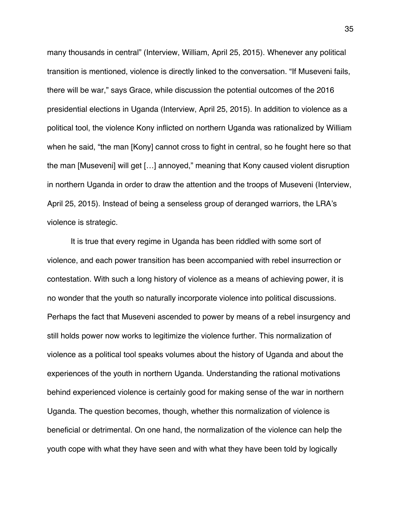many thousands in central" (Interview, William, April 25, 2015). Whenever any political transition is mentioned, violence is directly linked to the conversation. "If Museveni fails, there will be war," says Grace, while discussion the potential outcomes of the 2016 presidential elections in Uganda (Interview, April 25, 2015). In addition to violence as a political tool, the violence Kony inflicted on northern Uganda was rationalized by William when he said, "the man [Kony] cannot cross to fight in central, so he fought here so that the man [Museveni] will get […] annoyed," meaning that Kony caused violent disruption in northern Uganda in order to draw the attention and the troops of Museveni (Interview, April 25, 2015). Instead of being a senseless group of deranged warriors, the LRA's violence is strategic.

It is true that every regime in Uganda has been riddled with some sort of violence, and each power transition has been accompanied with rebel insurrection or contestation. With such a long history of violence as a means of achieving power, it is no wonder that the youth so naturally incorporate violence into political discussions. Perhaps the fact that Museveni ascended to power by means of a rebel insurgency and still holds power now works to legitimize the violence further. This normalization of violence as a political tool speaks volumes about the history of Uganda and about the experiences of the youth in northern Uganda. Understanding the rational motivations behind experienced violence is certainly good for making sense of the war in northern Uganda. The question becomes, though, whether this normalization of violence is beneficial or detrimental. On one hand, the normalization of the violence can help the youth cope with what they have seen and with what they have been told by logically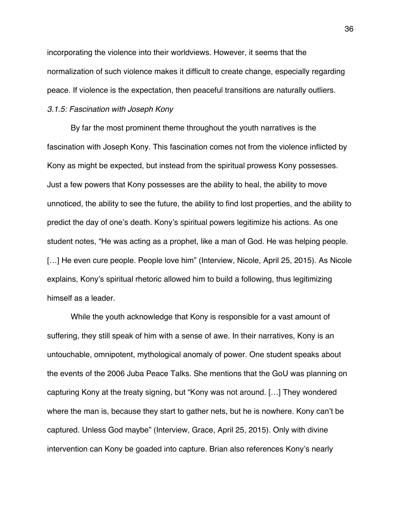incorporating the violence into their worldviews. However, it seems that the normalization of such violence makes it difficult to create change, especially regarding peace. If violence is the expectation, then peaceful transitions are naturally outliers.

# *3.1.5: Fascination with Joseph Kony*

By far the most prominent theme throughout the youth narratives is the fascination with Joseph Kony. This fascination comes not from the violence inflicted by Kony as might be expected, but instead from the spiritual prowess Kony possesses. Just a few powers that Kony possesses are the ability to heal, the ability to move unnoticed, the ability to see the future, the ability to find lost properties, and the ability to predict the day of one's death. Kony's spiritual powers legitimize his actions. As one student notes, "He was acting as a prophet, like a man of God. He was helping people. [...] He even cure people. People love him" (Interview, Nicole, April 25, 2015). As Nicole explains, Kony's spiritual rhetoric allowed him to build a following, thus legitimizing himself as a leader.

While the youth acknowledge that Kony is responsible for a vast amount of suffering, they still speak of him with a sense of awe. In their narratives, Kony is an untouchable, omnipotent, mythological anomaly of power. One student speaks about the events of the 2006 Juba Peace Talks. She mentions that the GoU was planning on capturing Kony at the treaty signing, but "Kony was not around. […] They wondered where the man is, because they start to gather nets, but he is nowhere. Kony can't be captured. Unless God maybe" (Interview, Grace, April 25, 2015). Only with divine intervention can Kony be goaded into capture. Brian also references Kony's nearly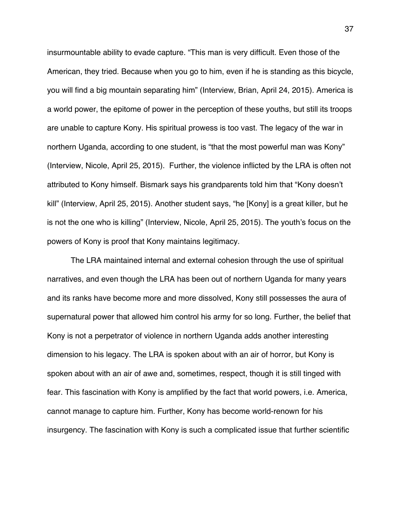insurmountable ability to evade capture. "This man is very difficult. Even those of the American, they tried. Because when you go to him, even if he is standing as this bicycle, you will find a big mountain separating him" (Interview, Brian, April 24, 2015). America is a world power, the epitome of power in the perception of these youths, but still its troops are unable to capture Kony. His spiritual prowess is too vast. The legacy of the war in northern Uganda, according to one student, is "that the most powerful man was Kony" (Interview, Nicole, April 25, 2015). Further, the violence inflicted by the LRA is often not attributed to Kony himself. Bismark says his grandparents told him that "Kony doesn't kill" (Interview, April 25, 2015). Another student says, "he [Kony] is a great killer, but he is not the one who is killing" (Interview, Nicole, April 25, 2015). The youth's focus on the powers of Kony is proof that Kony maintains legitimacy.

The LRA maintained internal and external cohesion through the use of spiritual narratives, and even though the LRA has been out of northern Uganda for many years and its ranks have become more and more dissolved, Kony still possesses the aura of supernatural power that allowed him control his army for so long. Further, the belief that Kony is not a perpetrator of violence in northern Uganda adds another interesting dimension to his legacy. The LRA is spoken about with an air of horror, but Kony is spoken about with an air of awe and, sometimes, respect, though it is still tinged with fear. This fascination with Kony is amplified by the fact that world powers, i.e. America, cannot manage to capture him. Further, Kony has become world-renown for his insurgency. The fascination with Kony is such a complicated issue that further scientific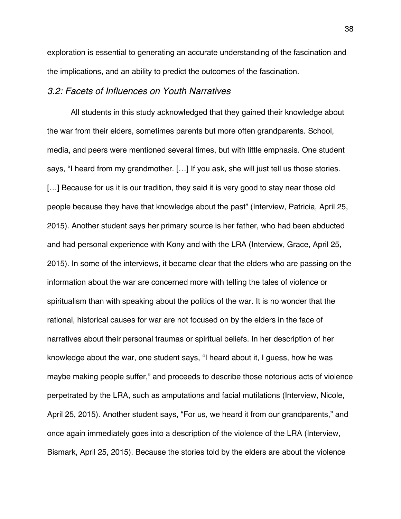exploration is essential to generating an accurate understanding of the fascination and the implications, and an ability to predict the outcomes of the fascination.

# *3.2: Facets of Influences on Youth Narratives*

All students in this study acknowledged that they gained their knowledge about the war from their elders, sometimes parents but more often grandparents. School, media, and peers were mentioned several times, but with little emphasis. One student says, "I heard from my grandmother. […] If you ask, she will just tell us those stories. [...] Because for us it is our tradition, they said it is very good to stay near those old people because they have that knowledge about the past" (Interview, Patricia, April 25, 2015). Another student says her primary source is her father, who had been abducted and had personal experience with Kony and with the LRA (Interview, Grace, April 25, 2015). In some of the interviews, it became clear that the elders who are passing on the information about the war are concerned more with telling the tales of violence or spiritualism than with speaking about the politics of the war. It is no wonder that the rational, historical causes for war are not focused on by the elders in the face of narratives about their personal traumas or spiritual beliefs. In her description of her knowledge about the war, one student says, "I heard about it, I guess, how he was maybe making people suffer," and proceeds to describe those notorious acts of violence perpetrated by the LRA, such as amputations and facial mutilations (Interview, Nicole, April 25, 2015). Another student says, "For us, we heard it from our grandparents," and once again immediately goes into a description of the violence of the LRA (Interview, Bismark, April 25, 2015). Because the stories told by the elders are about the violence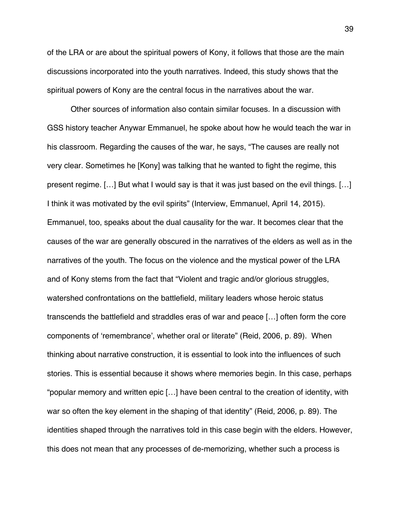of the LRA or are about the spiritual powers of Kony, it follows that those are the main discussions incorporated into the youth narratives. Indeed, this study shows that the spiritual powers of Kony are the central focus in the narratives about the war.

Other sources of information also contain similar focuses. In a discussion with GSS history teacher Anywar Emmanuel, he spoke about how he would teach the war in his classroom. Regarding the causes of the war, he says, "The causes are really not very clear. Sometimes he [Kony] was talking that he wanted to fight the regime, this present regime. […] But what I would say is that it was just based on the evil things. […] I think it was motivated by the evil spirits" (Interview, Emmanuel, April 14, 2015). Emmanuel, too, speaks about the dual causality for the war. It becomes clear that the causes of the war are generally obscured in the narratives of the elders as well as in the narratives of the youth. The focus on the violence and the mystical power of the LRA and of Kony stems from the fact that "Violent and tragic and/or glorious struggles, watershed confrontations on the battlefield, military leaders whose heroic status transcends the battlefield and straddles eras of war and peace […] often form the core components of 'remembrance', whether oral or literate" (Reid, 2006, p. 89). When thinking about narrative construction, it is essential to look into the influences of such stories. This is essential because it shows where memories begin. In this case, perhaps "popular memory and written epic […] have been central to the creation of identity, with war so often the key element in the shaping of that identity" (Reid, 2006, p. 89). The identities shaped through the narratives told in this case begin with the elders. However, this does not mean that any processes of de-memorizing, whether such a process is

39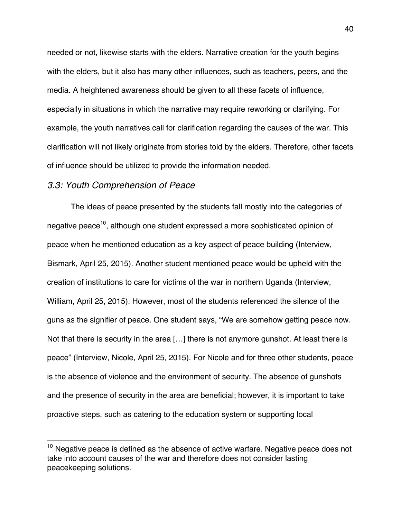needed or not, likewise starts with the elders. Narrative creation for the youth begins with the elders, but it also has many other influences, such as teachers, peers, and the media. A heightened awareness should be given to all these facets of influence, especially in situations in which the narrative may require reworking or clarifying. For example, the youth narratives call for clarification regarding the causes of the war. This clarification will not likely originate from stories told by the elders. Therefore, other facets of influence should be utilized to provide the information needed.

## *3.3: Youth Comprehension of Peace*

!!!!!!!!!!!!!!!!!!!!!!!!!!!!!!!!!!!!!!!!!!!!!!!!!!!!!!!

The ideas of peace presented by the students fall mostly into the categories of negative peace<sup>10</sup>, although one student expressed a more sophisticated opinion of peace when he mentioned education as a key aspect of peace building (Interview, Bismark, April 25, 2015). Another student mentioned peace would be upheld with the creation of institutions to care for victims of the war in northern Uganda (Interview, William, April 25, 2015). However, most of the students referenced the silence of the guns as the signifier of peace. One student says, "We are somehow getting peace now. Not that there is security in the area […] there is not anymore gunshot. At least there is peace" (Interview, Nicole, April 25, 2015). For Nicole and for three other students, peace is the absence of violence and the environment of security. The absence of gunshots and the presence of security in the area are beneficial; however, it is important to take proactive steps, such as catering to the education system or supporting local

 $10$  Negative peace is defined as the absence of active warfare. Negative peace does not take into account causes of the war and therefore does not consider lasting peacekeeping solutions.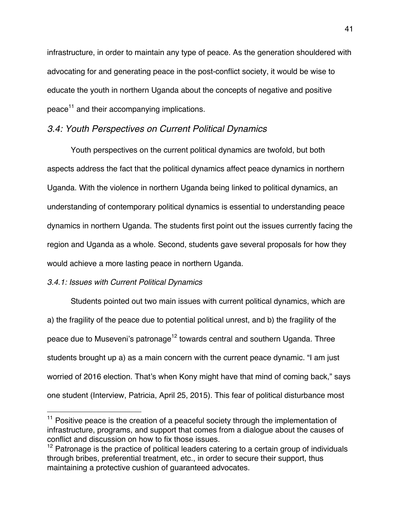infrastructure, in order to maintain any type of peace. As the generation shouldered with advocating for and generating peace in the post-conflict society, it would be wise to educate the youth in northern Uganda about the concepts of negative and positive peace<sup>11</sup> and their accompanying implications.

# *3.4: Youth Perspectives on Current Political Dynamics*

Youth perspectives on the current political dynamics are twofold, but both aspects address the fact that the political dynamics affect peace dynamics in northern Uganda. With the violence in northern Uganda being linked to political dynamics, an understanding of contemporary political dynamics is essential to understanding peace dynamics in northern Uganda. The students first point out the issues currently facing the region and Uganda as a whole. Second, students gave several proposals for how they would achieve a more lasting peace in northern Uganda.

# *3.4.1: Issues with Current Political Dynamics*

!!!!!!!!!!!!!!!!!!!!!!!!!!!!!!!!!!!!!!!!!!!!!!!!!!!!!!!

Students pointed out two main issues with current political dynamics, which are a) the fragility of the peace due to potential political unrest, and b) the fragility of the peace due to Museveni's patronage<sup>12</sup> towards central and southern Uganda. Three students brought up a) as a main concern with the current peace dynamic. "I am just worried of 2016 election. That's when Kony might have that mind of coming back," says one student (Interview, Patricia, April 25, 2015). This fear of political disturbance most

 $11$  Positive peace is the creation of a peaceful society through the implementation of infrastructure, programs, and support that comes from a dialogue about the causes of conflict and discussion on how to fix those issues.

 $12$  Patronage is the practice of political leaders catering to a certain group of individuals through bribes, preferential treatment, etc., in order to secure their support, thus maintaining a protective cushion of guaranteed advocates.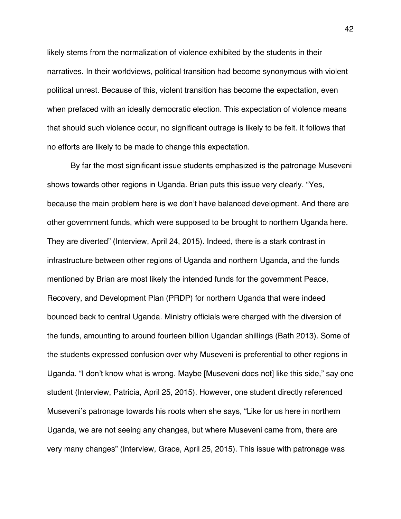likely stems from the normalization of violence exhibited by the students in their narratives. In their worldviews, political transition had become synonymous with violent political unrest. Because of this, violent transition has become the expectation, even when prefaced with an ideally democratic election. This expectation of violence means that should such violence occur, no significant outrage is likely to be felt. It follows that no efforts are likely to be made to change this expectation.

By far the most significant issue students emphasized is the patronage Museveni shows towards other regions in Uganda. Brian puts this issue very clearly. "Yes, because the main problem here is we don't have balanced development. And there are other government funds, which were supposed to be brought to northern Uganda here. They are diverted" (Interview, April 24, 2015). Indeed, there is a stark contrast in infrastructure between other regions of Uganda and northern Uganda, and the funds mentioned by Brian are most likely the intended funds for the government Peace, Recovery, and Development Plan (PRDP) for northern Uganda that were indeed bounced back to central Uganda. Ministry officials were charged with the diversion of the funds, amounting to around fourteen billion Ugandan shillings (Bath 2013). Some of the students expressed confusion over why Museveni is preferential to other regions in Uganda. "I don't know what is wrong. Maybe [Museveni does not] like this side," say one student (Interview, Patricia, April 25, 2015). However, one student directly referenced Museveni's patronage towards his roots when she says, "Like for us here in northern Uganda, we are not seeing any changes, but where Museveni came from, there are very many changes" (Interview, Grace, April 25, 2015). This issue with patronage was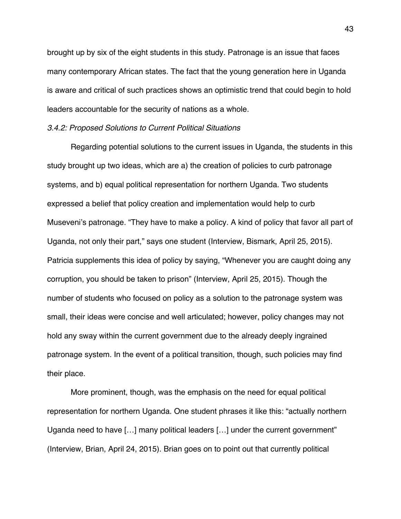brought up by six of the eight students in this study. Patronage is an issue that faces many contemporary African states. The fact that the young generation here in Uganda is aware and critical of such practices shows an optimistic trend that could begin to hold leaders accountable for the security of nations as a whole.

#### *3.4.2: Proposed Solutions to Current Political Situations*

Regarding potential solutions to the current issues in Uganda, the students in this study brought up two ideas, which are a) the creation of policies to curb patronage systems, and b) equal political representation for northern Uganda. Two students expressed a belief that policy creation and implementation would help to curb Museveni's patronage. "They have to make a policy. A kind of policy that favor all part of Uganda, not only their part," says one student (Interview, Bismark, April 25, 2015). Patricia supplements this idea of policy by saying, "Whenever you are caught doing any corruption, you should be taken to prison" (Interview, April 25, 2015). Though the number of students who focused on policy as a solution to the patronage system was small, their ideas were concise and well articulated; however, policy changes may not hold any sway within the current government due to the already deeply ingrained patronage system. In the event of a political transition, though, such policies may find their place.

More prominent, though, was the emphasis on the need for equal political representation for northern Uganda. One student phrases it like this: "actually northern Uganda need to have […] many political leaders […] under the current government" (Interview, Brian, April 24, 2015). Brian goes on to point out that currently political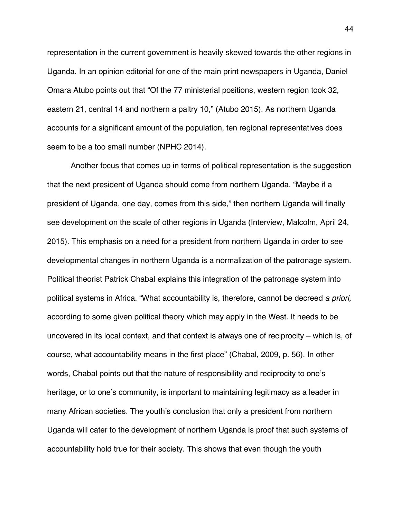representation in the current government is heavily skewed towards the other regions in Uganda. In an opinion editorial for one of the main print newspapers in Uganda, Daniel Omara Atubo points out that "Of the 77 ministerial positions, western region took 32, eastern 21, central 14 and northern a paltry 10," (Atubo 2015). As northern Uganda accounts for a significant amount of the population, ten regional representatives does seem to be a too small number (NPHC 2014).

Another focus that comes up in terms of political representation is the suggestion that the next president of Uganda should come from northern Uganda. "Maybe if a president of Uganda, one day, comes from this side," then northern Uganda will finally see development on the scale of other regions in Uganda (Interview, Malcolm, April 24, 2015). This emphasis on a need for a president from northern Uganda in order to see developmental changes in northern Uganda is a normalization of the patronage system. Political theorist Patrick Chabal explains this integration of the patronage system into political systems in Africa. "What accountability is, therefore, cannot be decreed *a priori,*  according to some given political theory which may apply in the West. It needs to be uncovered in its local context, and that context is always one of reciprocity – which is, of course, what accountability means in the first place" (Chabal, 2009, p. 56). In other words, Chabal points out that the nature of responsibility and reciprocity to one's heritage, or to one's community, is important to maintaining legitimacy as a leader in many African societies. The youth's conclusion that only a president from northern Uganda will cater to the development of northern Uganda is proof that such systems of accountability hold true for their society. This shows that even though the youth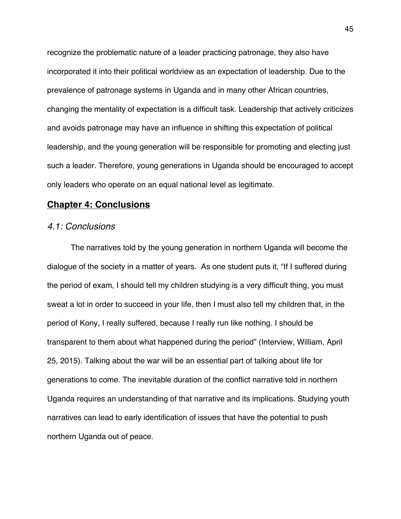recognize the problematic nature of a leader practicing patronage, they also have incorporated it into their political worldview as an expectation of leadership. Due to the prevalence of patronage systems in Uganda and in many other African countries, changing the mentality of expectation is a difficult task. Leadership that actively criticizes and avoids patronage may have an influence in shifting this expectation of political leadership, and the young generation will be responsible for promoting and electing just such a leader. Therefore, young generations in Uganda should be encouraged to accept only leaders who operate on an equal national level as legitimate.

# **Chapter 4: Conclusions**

#### *4.1: Conclusions*

The narratives told by the young generation in northern Uganda will become the dialogue of the society in a matter of years. As one student puts it, "If I suffered during the period of exam, I should tell my children studying is a very difficult thing, you must sweat a lot in order to succeed in your life, then I must also tell my children that, in the period of Kony, I really suffered, because I really run like nothing. I should be transparent to them about what happened during the period" (Interview, William, April 25, 2015). Talking about the war will be an essential part of talking about life for generations to come. The inevitable duration of the conflict narrative told in northern Uganda requires an understanding of that narrative and its implications. Studying youth narratives can lead to early identification of issues that have the potential to push northern Uganda out of peace.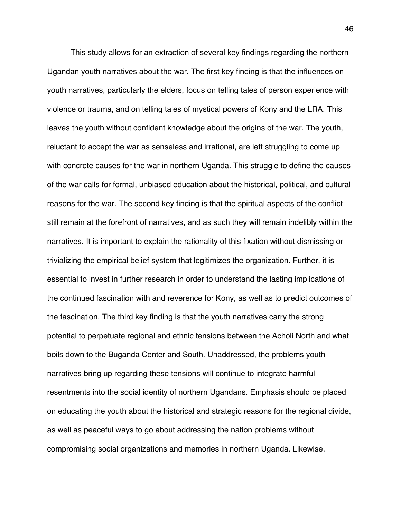This study allows for an extraction of several key findings regarding the northern Ugandan youth narratives about the war. The first key finding is that the influences on youth narratives, particularly the elders, focus on telling tales of person experience with violence or trauma, and on telling tales of mystical powers of Kony and the LRA. This leaves the youth without confident knowledge about the origins of the war. The youth, reluctant to accept the war as senseless and irrational, are left struggling to come up with concrete causes for the war in northern Uganda. This struggle to define the causes of the war calls for formal, unbiased education about the historical, political, and cultural reasons for the war. The second key finding is that the spiritual aspects of the conflict still remain at the forefront of narratives, and as such they will remain indelibly within the narratives. It is important to explain the rationality of this fixation without dismissing or trivializing the empirical belief system that legitimizes the organization. Further, it is essential to invest in further research in order to understand the lasting implications of the continued fascination with and reverence for Kony, as well as to predict outcomes of the fascination. The third key finding is that the youth narratives carry the strong potential to perpetuate regional and ethnic tensions between the Acholi North and what boils down to the Buganda Center and South. Unaddressed, the problems youth narratives bring up regarding these tensions will continue to integrate harmful resentments into the social identity of northern Ugandans. Emphasis should be placed on educating the youth about the historical and strategic reasons for the regional divide, as well as peaceful ways to go about addressing the nation problems without compromising social organizations and memories in northern Uganda. Likewise,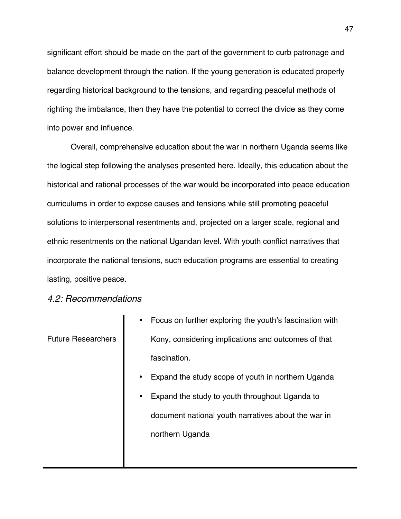significant effort should be made on the part of the government to curb patronage and balance development through the nation. If the young generation is educated properly regarding historical background to the tensions, and regarding peaceful methods of righting the imbalance, then they have the potential to correct the divide as they come into power and influence.

Overall, comprehensive education about the war in northern Uganda seems like the logical step following the analyses presented here. Ideally, this education about the historical and rational processes of the war would be incorporated into peace education curriculums in order to expose causes and tensions while still promoting peaceful solutions to interpersonal resentments and, projected on a larger scale, regional and ethnic resentments on the national Ugandan level. With youth conflict narratives that incorporate the national tensions, such education programs are essential to creating lasting, positive peace.

# *4.2: Recommendations*

|                           | Focus on further exploring the youth's fascination with<br>$\bullet$ |
|---------------------------|----------------------------------------------------------------------|
| <b>Future Researchers</b> | Kony, considering implications and outcomes of that                  |
|                           | fascination.                                                         |
|                           | Expand the study scope of youth in northern Uganda<br>$\bullet$      |
|                           | Expand the study to youth throughout Uganda to<br>$\bullet$          |
|                           | document national youth narratives about the war in                  |
|                           | northern Uganda                                                      |
|                           |                                                                      |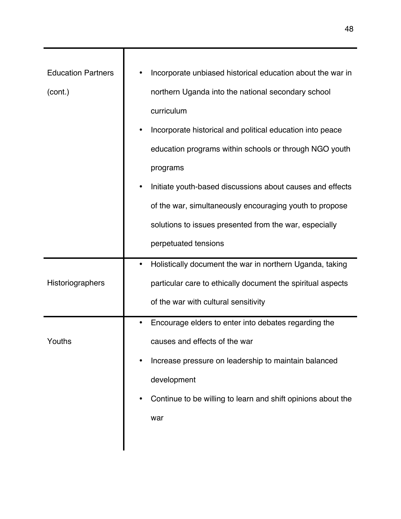| <b>Education Partners</b> | Incorporate unbiased historical education about the war in        |
|---------------------------|-------------------------------------------------------------------|
| (cont.)                   | northern Uganda into the national secondary school                |
|                           | curriculum                                                        |
|                           | Incorporate historical and political education into peace<br>٠    |
|                           | education programs within schools or through NGO youth            |
|                           | programs                                                          |
|                           | Initiate youth-based discussions about causes and effects<br>٠    |
|                           | of the war, simultaneously encouraging youth to propose           |
|                           | solutions to issues presented from the war, especially            |
|                           | perpetuated tensions                                              |
|                           |                                                                   |
|                           | Holistically document the war in northern Uganda, taking<br>٠     |
| Historiographers          | particular care to ethically document the spiritual aspects       |
|                           | of the war with cultural sensitivity                              |
|                           | Encourage elders to enter into debates regarding the              |
| Youths                    | causes and effects of the war                                     |
|                           | Increase pressure on leadership to maintain balanced              |
|                           | development                                                       |
|                           | Continue to be willing to learn and shift opinions about the<br>٠ |
|                           | war                                                               |
|                           |                                                                   |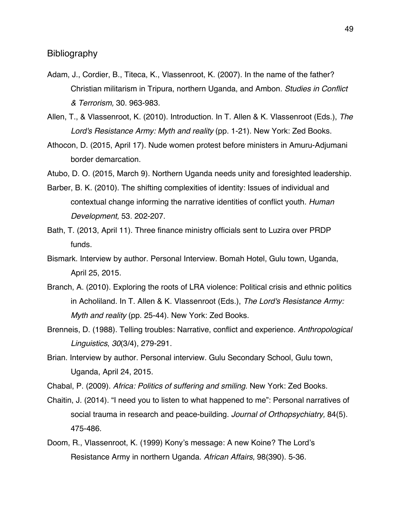# Bibliography

- Adam, J., Cordier, B., Titeca, K., Vlassenroot, K. (2007). In the name of the father? Christian militarism in Tripura, northern Uganda, and Ambon. *Studies in Conflict & Terrorism,* 30. 963-983.
- Allen, T., & Vlassenroot, K. (2010). Introduction. In T. Allen & K. Vlassenroot (Eds.), *The Lord's Resistance Army: Myth and reality* (pp. 1-21). New York: Zed Books.
- Athocon, D. (2015, April 17). Nude women protest before ministers in Amuru-Adjumani border demarcation.

Atubo, D. O. (2015, March 9). Northern Uganda needs unity and foresighted leadership.

- Barber, B. K. (2010). The shifting complexities of identity: Issues of individual and contextual change informing the narrative identities of conflict youth. *Human Development,* 53. 202-207.
- Bath, T. (2013, April 11). Three finance ministry officials sent to Luzira over PRDP funds.
- Bismark. Interview by author. Personal Interview. Bomah Hotel, Gulu town, Uganda, April 25, 2015.
- Branch, A. (2010). Exploring the roots of LRA violence: Political crisis and ethnic politics in Acholiland. In T. Allen & K. Vlassenroot (Eds.), *The Lord's Resistance Army: Myth and reality* (pp. 25-44). New York: Zed Books.
- Brenneis, D. (1988). Telling troubles: Narrative, conflict and experience. *Anthropological Linguistics*, *30*(3/4), 279-291.
- Brian. Interview by author. Personal interview. Gulu Secondary School, Gulu town, Uganda, April 24, 2015.
- Chabal, P. (2009). *Africa: Politics of suffering and smiling.* New York: Zed Books.
- Chaitin, J. (2014). "I need you to listen to what happened to me": Personal narratives of social trauma in research and peace-building. *Journal of Orthopsychiatry,* 84(5). 475-486.
- Doom, R., Vlassenroot, K. (1999) Kony's message: A new Koine? The Lord's Resistance Army in northern Uganda. *African Affairs,* 98(390). 5-36.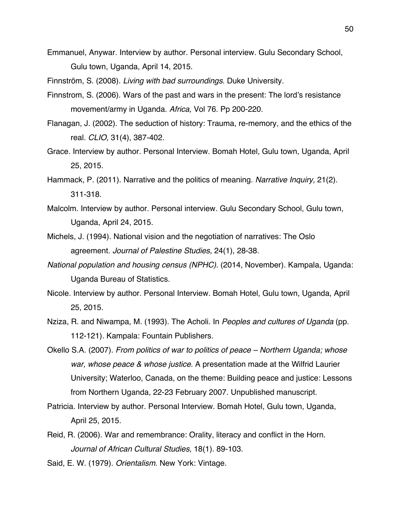Emmanuel, Anywar. Interview by author. Personal interview. Gulu Secondary School, Gulu town, Uganda, April 14, 2015.

Finnström, S. (2008). *Living with bad surroundings*. Duke University.

- Finnstrom, S. (2006). Wars of the past and wars in the present: The lord's resistance movement/army in Uganda. *Africa,* Vol 76. Pp 200-220.
- Flanagan, J. (2002). The seduction of history: Trauma, re-memory, and the ethics of the real. *CLIO,* 31(4), 387-402.
- Grace. Interview by author. Personal Interview. Bomah Hotel, Gulu town, Uganda, April 25, 2015.
- Hammack, P. (2011). Narrative and the politics of meaning. *Narrative Inquiry,* 21(2). 311-318.
- Malcolm. Interview by author. Personal interview. Gulu Secondary School, Gulu town, Uganda, April 24, 2015.
- Michels, J. (1994). National vision and the negotiation of narratives: The Oslo agreement. *Journal of Palestine Studies,* 24(1), 28-38.
- *National population and housing census (NPHC)*. (2014, November). Kampala, Uganda: Uganda Bureau of Statistics.
- Nicole. Interview by author. Personal Interview. Bomah Hotel, Gulu town, Uganda, April 25, 2015.
- Nziza, R. and Niwampa, M. (1993). The Acholi. In *Peoples and cultures of Uganda* (pp. 112-121)*.* Kampala: Fountain Publishers.
- Okello S.A. (2007). *From politics of war to politics of peace – Northern Uganda; whose war, whose peace & whose justice.* A presentation made at the Wilfrid Laurier University; Waterloo, Canada, on the theme: Building peace and justice: Lessons from Northern Uganda, 22-23 February 2007. Unpublished manuscript.
- Patricia. Interview by author. Personal Interview. Bomah Hotel, Gulu town, Uganda, April 25, 2015.
- Reid, R. (2006). War and remembrance: Orality, literacy and conflict in the Horn. *Journal of African Cultural Studies,* 18(1). 89-103.

Said, E. W. (1979). *Orientalism*. New York: Vintage.